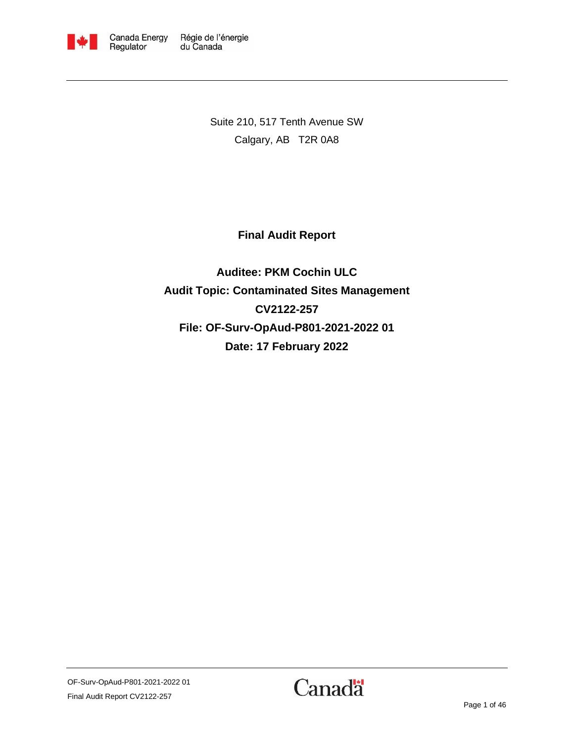

Suite 210, 517 Tenth Avenue SW Calgary, AB T2R 0A8

<span id="page-0-1"></span>**Final Audit Report**

<span id="page-0-0"></span>**Auditee: PKM Cochin ULC Audit Topic: Contaminated Sites Management CV2122-257 File: OF-Surv-OpAud-P801-2021-2022 01 Date: 17 February 2022**

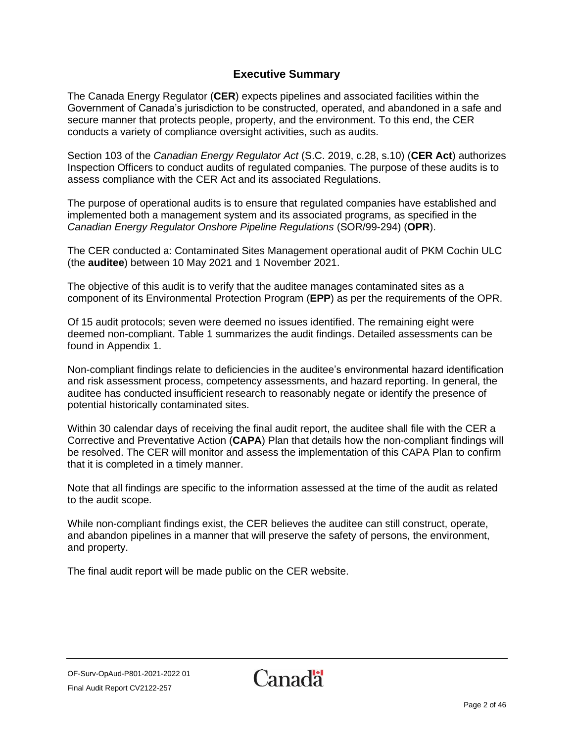### **Executive Summary**

<span id="page-1-0"></span>The Canada Energy Regulator (**CER**) expects pipelines and associated facilities within the Government of Canada's jurisdiction to be constructed, operated, and abandoned in a safe and secure manner that protects people, property, and the environment. To this end, the CER conducts a variety of compliance oversight activities, such as audits.

Section 103 of the *Canadian Energy Regulator Act* (S.C. 2019, c.28, s.10) (**CER Act**) authorizes Inspection Officers to conduct audits of regulated companies. The purpose of these audits is to assess compliance with the CER Act and its associated Regulations.

The purpose of operational audits is to ensure that regulated companies have established and implemented both a management system and its associated programs, as specified in the *Canadian Energy Regulator Onshore Pipeline Regulations* (SOR/99-294) (**OPR**).

The CER conducted a: [Contaminated Sites](#page-0-1) Management operational audit of PKM Cochin ULC (the **auditee**) between 10 May 2021 and 1 November 2021.

The objective of this audit is to verify that the auditee manages contaminated sites as a component of its Environmental Protection Program (**EPP**) as per the requirements of the OPR.

Of 15 audit protocols; seven were deemed no issues identified. The remaining eight were deemed non-compliant. Table 1 summarizes the audit findings. Detailed assessments can be found in Appendix 1.

Non-compliant findings relate to deficiencies in the auditee's environmental hazard identification and risk assessment process, competency assessments, and hazard reporting. In general, the auditee has conducted insufficient research to reasonably negate or identify the presence of potential historically contaminated sites.

Within 30 calendar days of receiving the final audit report, the auditee shall file with the CER a Corrective and Preventative Action (**CAPA**) Plan that details how the non-compliant findings will be resolved. The CER will monitor and assess the implementation of this CAPA Plan to confirm that it is completed in a timely manner.

Note that all findings are specific to the information assessed at the time of the audit as related to the audit scope.

While non-compliant findings exist, the CER believes the auditee can still construct, operate, and abandon pipelines in a manner that will preserve the safety of persons, the environment, and property.

The final audit report will be made public on the CER website.

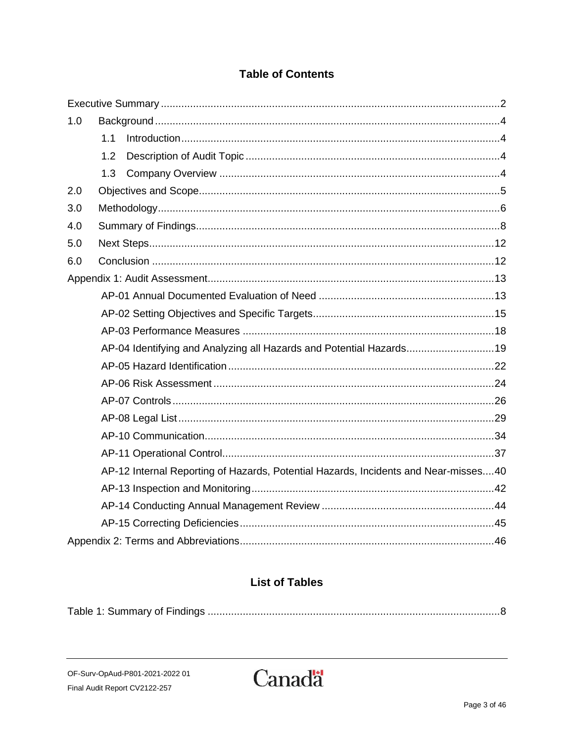## **Table of Contents**

| 1.0 |                                                                                     |                                                                     |  |  |  |
|-----|-------------------------------------------------------------------------------------|---------------------------------------------------------------------|--|--|--|
|     | 1.1                                                                                 |                                                                     |  |  |  |
|     | 1.2                                                                                 |                                                                     |  |  |  |
|     | 1.3                                                                                 |                                                                     |  |  |  |
| 2.0 |                                                                                     |                                                                     |  |  |  |
| 3.0 |                                                                                     |                                                                     |  |  |  |
| 4.0 |                                                                                     |                                                                     |  |  |  |
| 5.0 |                                                                                     |                                                                     |  |  |  |
| 6.0 |                                                                                     |                                                                     |  |  |  |
|     |                                                                                     |                                                                     |  |  |  |
|     |                                                                                     |                                                                     |  |  |  |
|     |                                                                                     |                                                                     |  |  |  |
|     |                                                                                     |                                                                     |  |  |  |
|     |                                                                                     | AP-04 Identifying and Analyzing all Hazards and Potential Hazards19 |  |  |  |
|     |                                                                                     |                                                                     |  |  |  |
|     |                                                                                     |                                                                     |  |  |  |
|     |                                                                                     |                                                                     |  |  |  |
|     |                                                                                     |                                                                     |  |  |  |
|     |                                                                                     |                                                                     |  |  |  |
|     |                                                                                     |                                                                     |  |  |  |
|     | AP-12 Internal Reporting of Hazards, Potential Hazards, Incidents and Near-misses40 |                                                                     |  |  |  |
|     |                                                                                     |                                                                     |  |  |  |
|     |                                                                                     |                                                                     |  |  |  |
|     |                                                                                     |                                                                     |  |  |  |
|     |                                                                                     |                                                                     |  |  |  |

# **List of Tables**

|--|

OF-Surv-OpAud-P801-2021-2022 01 Final Audit Report CV2122-257

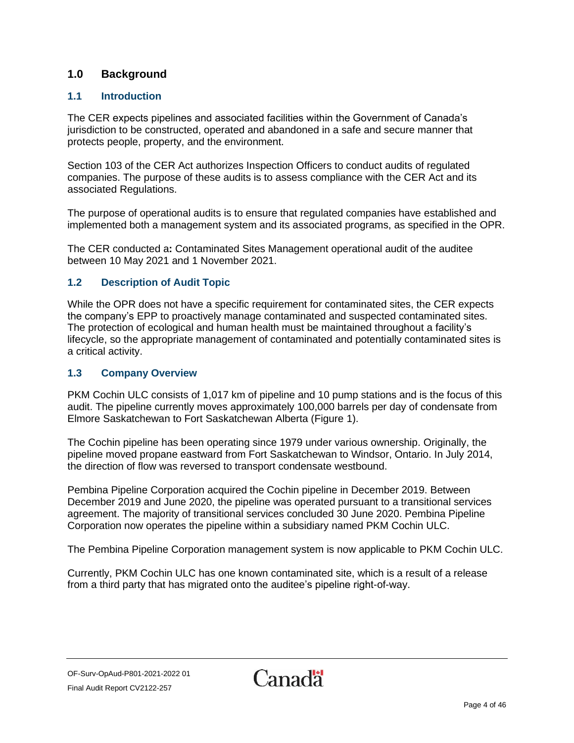### <span id="page-3-0"></span>**1.0 Background**

#### <span id="page-3-1"></span>**1.1 Introduction**

The CER expects pipelines and associated facilities within the Government of Canada's jurisdiction to be constructed, operated and abandoned in a safe and secure manner that protects people, property, and the environment.

Section 103 of the CER Act authorizes Inspection Officers to conduct audits of regulated companies. The purpose of these audits is to assess compliance with the CER Act and its associated Regulations.

The purpose of operational audits is to ensure that regulated companies have established and implemented both a management system and its associated programs, as specified in the OPR.

The CER conducted a**:** [Contaminated Sites](#page-0-1) Management operational audit of the auditee between 10 May 2021 and 1 November 2021.

#### <span id="page-3-2"></span>**1.2 Description of Audit Topic**

While the OPR does not have a specific requirement for contaminated sites, the CER expects the company's EPP to proactively manage contaminated and suspected contaminated sites. The protection of ecological and human health must be maintained throughout a facility's lifecycle, so the appropriate management of contaminated and potentially contaminated sites is a critical activity.

#### <span id="page-3-3"></span>**1.3 Company Overview**

PKM Cochin ULC consists of 1,017 km of pipeline and 10 pump stations and is the focus of this audit. The pipeline currently moves approximately 100,000 barrels per day of condensate from Elmore Saskatchewan to Fort Saskatchewan Alberta (Figure 1).

The Cochin pipeline has been operating since 1979 under various ownership. Originally, the pipeline moved propane eastward from Fort Saskatchewan to Windsor, Ontario. In July 2014, the direction of flow was reversed to transport condensate westbound.

Pembina Pipeline Corporation acquired the Cochin pipeline in December 2019. Between December 2019 and June 2020, the pipeline was operated pursuant to a transitional services agreement. The majority of transitional services concluded 30 June 2020. Pembina Pipeline Corporation now operates the pipeline within a subsidiary named PKM Cochin ULC.

The Pembina Pipeline Corporation management system is now applicable to PKM Cochin ULC.

Currently, PKM Cochin ULC has one known contaminated site, which is a result of a release from a third party that has migrated onto the auditee's pipeline right-of-way.

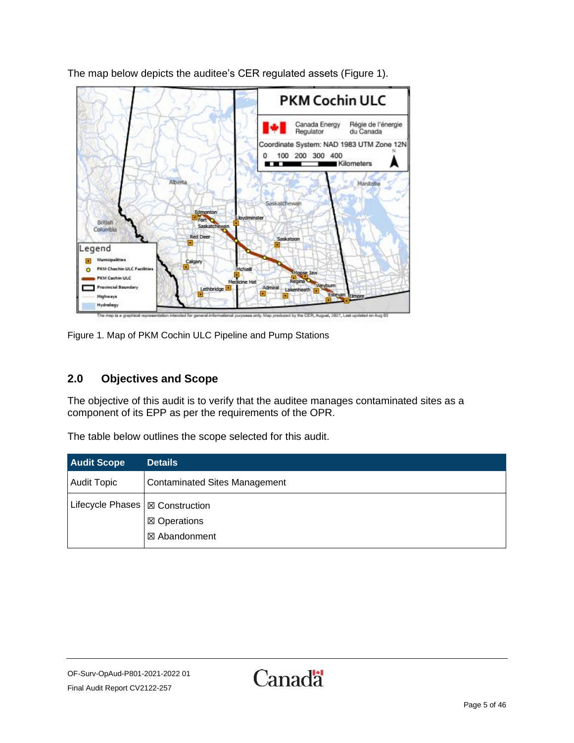

The map below depicts the auditee's CER regulated assets (Figure 1).

Figure 1. Map of PKM Cochin ULC Pipeline and Pump Stations

### <span id="page-4-0"></span>**2.0 Objectives and Scope**

The objective of this audit is to verify that the auditee manages contaminated sites as a component of its EPP as per the requirements of the OPR.

The table below outlines the scope selected for this audit.

| <b>Audit Scope</b>                | Details                              |
|-----------------------------------|--------------------------------------|
| <b>Audit Topic</b>                | <b>Contaminated Sites Management</b> |
| Lifecycle Phases   ⊠ Construction | ⊠ Operations                         |
|                                   | ⊠ Abandonment                        |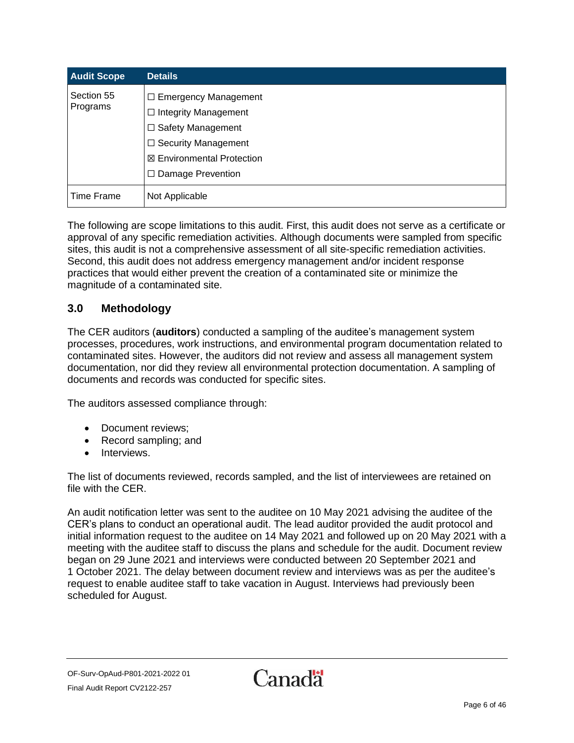| <b>Audit Scope</b>     | <b>Details</b>                                                                                                                                                              |
|------------------------|-----------------------------------------------------------------------------------------------------------------------------------------------------------------------------|
| Section 55<br>Programs | $\Box$ Emergency Management<br>$\Box$ Integrity Management<br>$\Box$ Safety Management<br>□ Security Management<br><b>⊠ Environmental Protection</b><br>□ Damage Prevention |
| Time Frame             | Not Applicable                                                                                                                                                              |

The following are scope limitations to this audit. First, this audit does not serve as a certificate or approval of any specific remediation activities. Although documents were sampled from specific sites, this audit is not a comprehensive assessment of all site-specific remediation activities. Second, this audit does not address emergency management and/or incident response practices that would either prevent the creation of a contaminated site or minimize the magnitude of a contaminated site.

### <span id="page-5-0"></span>**3.0 Methodology**

The CER auditors (**auditors**) conducted a sampling of the auditee's management system processes, procedures, work instructions, and environmental program documentation related to contaminated sites. However, the auditors did not review and assess all management system documentation, nor did they review all environmental protection documentation. A sampling of documents and records was conducted for specific sites.

The auditors assessed compliance through:

- Document reviews;
- Record sampling; and
- Interviews.

The list of documents reviewed, records sampled, and the list of interviewees are retained on file with the CER.

An audit notification letter was sent to the auditee on 10 May 2021 advising the auditee of the CER's plans to conduct an operational audit. The lead auditor provided the audit protocol and initial information request to the auditee on 14 May 2021 and followed up on 20 May 2021 with a meeting with the auditee staff to discuss the plans and schedule for the audit. Document review began on 29 June 2021 and interviews were conducted between 20 September 2021 and 1 October 2021. The delay between document review and interviews was as per the auditee's request to enable auditee staff to take vacation in August. Interviews had previously been scheduled for August.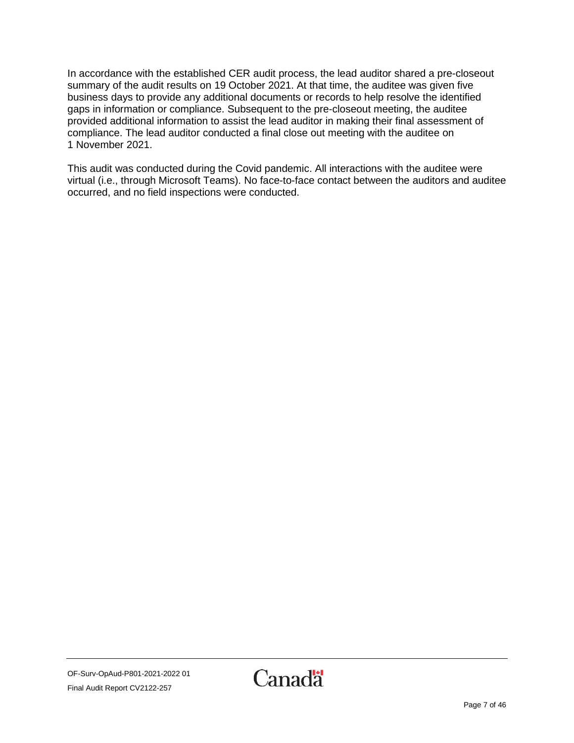In accordance with the established CER audit process, the lead auditor shared a pre-closeout summary of the audit results on 19 October 2021. At that time, the auditee was given five business days to provide any additional documents or records to help resolve the identified gaps in information or compliance. Subsequent to the pre-closeout meeting, the auditee provided additional information to assist the lead auditor in making their final assessment of compliance. The lead auditor conducted a final close out meeting with the auditee on 1 November 2021.

This audit was conducted during the Covid pandemic. All interactions with the auditee were virtual (i.e., through Microsoft Teams). No face-to-face contact between the auditors and auditee occurred, and no field inspections were conducted.

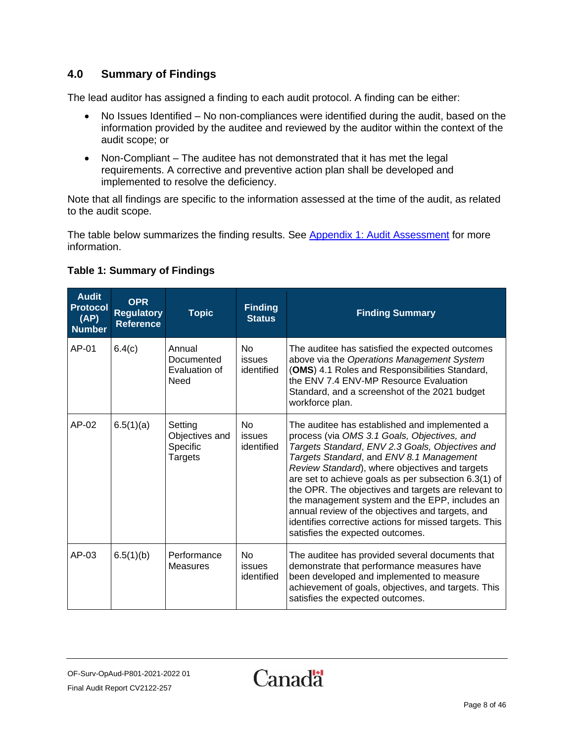### <span id="page-7-0"></span>**4.0 Summary of Findings**

The lead auditor has assigned a finding to each audit protocol. A finding can be either:

- No Issues Identified No non-compliances were identified during the audit, based on the information provided by the auditee and reviewed by the auditor within the context of the audit scope; or
- Non-Compliant The auditee has not demonstrated that it has met the legal requirements. A corrective and preventive action plan shall be developed and implemented to resolve the deficiency.

Note that all findings are specific to the information assessed at the time of the audit, as related to the audit scope.

The table below summarizes the finding results. See [Appendix 1: Audit Assessment](#page-12-0) for more information.

#### **Audit Protocol (AP) Number OPR Regulatory Reference Topic Finding Finding Summary**  $AP-01$   $6.4(c)$  Annual **Documented** Evaluation of **Need** No issues identified The auditee has satisfied the expected outcomes above via the *Operations Management System* (**OMS**) 4.1 Roles and Responsibilities Standard, the ENV 7.4 ENV-MP Resource Evaluation Standard, and a screenshot of the 2021 budget workforce plan. AP-02  $|6.5(1)(a)|$  Setting Objectives and Specific Targets No issues identified The auditee has established and implemented a process (via *OMS 3.1 Goals, Objectives, and Targets Standard*, *ENV 2.3 Goals, Objectives and Targets Standard*, and *ENV 8.1 Management Review Standard*), where objectives and targets are set to achieve goals as per subsection 6.3(1) of the OPR. The objectives and targets are relevant to the management system and the EPP, includes an annual review of the objectives and targets, and identifies corrective actions for missed targets. This satisfies the expected outcomes.  $AP-03$   $|6.5(1)(b)$  Performance **Measures** No issues identified The auditee has provided several documents that demonstrate that performance measures have been developed and implemented to measure achievement of goals, objectives, and targets. This satisfies the expected outcomes.

### <span id="page-7-1"></span>**Table 1: Summary of Findings**

OF-Surv-OpAud-P801-2021-2022 01 Final Audit Report CV2122-257

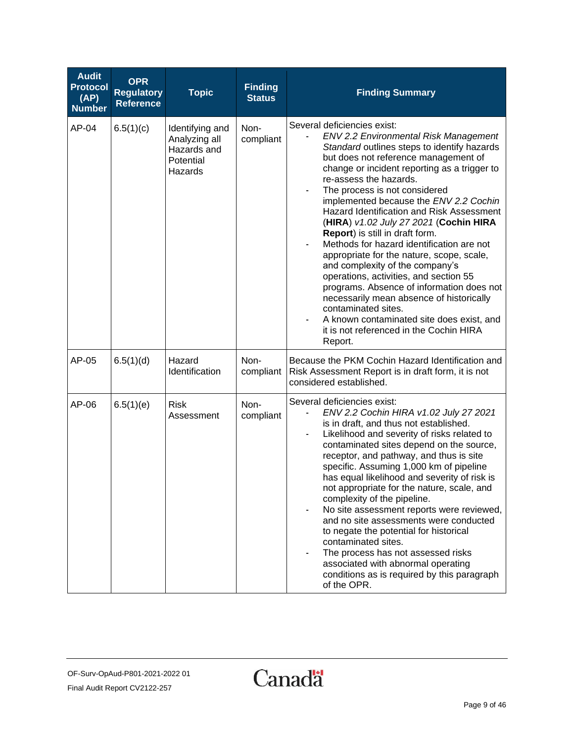| <b>Audit</b><br><b>Protocol</b><br>(AP)<br><b>Number</b> | <b>OPR</b><br><b>Regulatory</b><br><b>Reference</b> | <b>Topic</b>                                                            | <b>Finding</b><br><b>Status</b> | <b>Finding Summary</b>                                                                                                                                                                                                                                                                                                                                                                                                                                                                                                                                                                                                                                                                                                                                                                                                                      |
|----------------------------------------------------------|-----------------------------------------------------|-------------------------------------------------------------------------|---------------------------------|---------------------------------------------------------------------------------------------------------------------------------------------------------------------------------------------------------------------------------------------------------------------------------------------------------------------------------------------------------------------------------------------------------------------------------------------------------------------------------------------------------------------------------------------------------------------------------------------------------------------------------------------------------------------------------------------------------------------------------------------------------------------------------------------------------------------------------------------|
| AP-04                                                    | 6.5(1)(c)                                           | Identifying and<br>Analyzing all<br>Hazards and<br>Potential<br>Hazards | Non-<br>compliant               | Several deficiencies exist:<br><b>ENV 2.2 Environmental Risk Management</b><br>Standard outlines steps to identify hazards<br>but does not reference management of<br>change or incident reporting as a trigger to<br>re-assess the hazards.<br>The process is not considered<br>implemented because the ENV 2.2 Cochin<br>Hazard Identification and Risk Assessment<br>(HIRA) v1.02 July 27 2021 (Cochin HIRA<br>Report) is still in draft form.<br>Methods for hazard identification are not<br>appropriate for the nature, scope, scale,<br>and complexity of the company's<br>operations, activities, and section 55<br>programs. Absence of information does not<br>necessarily mean absence of historically<br>contaminated sites.<br>A known contaminated site does exist, and<br>it is not referenced in the Cochin HIRA<br>Report. |
| AP-05                                                    | 6.5(1)(d)                                           | Hazard<br>Identification                                                | Non-<br>compliant               | Because the PKM Cochin Hazard Identification and<br>Risk Assessment Report is in draft form, it is not<br>considered established.                                                                                                                                                                                                                                                                                                                                                                                                                                                                                                                                                                                                                                                                                                           |
| AP-06                                                    | 6.5(1)(e)                                           | <b>Risk</b><br>Assessment                                               | Non-<br>compliant               | Several deficiencies exist:<br>ENV 2.2 Cochin HIRA v1.02 July 27 2021<br>is in draft, and thus not established.<br>Likelihood and severity of risks related to<br>contaminated sites depend on the source,<br>receptor, and pathway, and thus is site<br>specific. Assuming 1,000 km of pipeline<br>has equal likelihood and severity of risk is<br>not appropriate for the nature, scale, and<br>complexity of the pipeline.<br>No site assessment reports were reviewed,<br>and no site assessments were conducted<br>to negate the potential for historical<br>contaminated sites.<br>The process has not assessed risks<br>associated with abnormal operating<br>conditions as is required by this paragraph<br>of the OPR.                                                                                                             |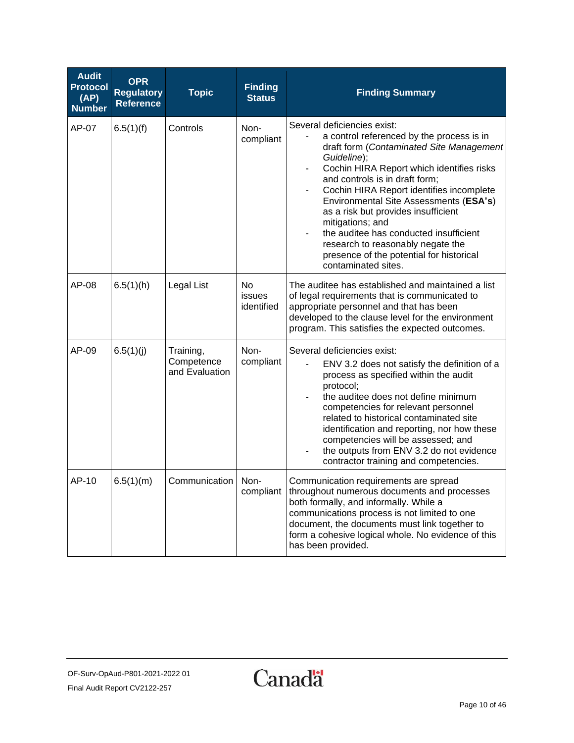| <b>Audit</b><br><b>Protocol</b><br>(AP)<br><b>Number</b> | <b>OPR</b><br><b>Regulatory</b><br><b>Reference</b> | <b>Topic</b>                              | <b>Finding</b><br><b>Status</b>   | <b>Finding Summary</b>                                                                                                                                                                                                                                                                                                                                                                                                                                                                                                                  |
|----------------------------------------------------------|-----------------------------------------------------|-------------------------------------------|-----------------------------------|-----------------------------------------------------------------------------------------------------------------------------------------------------------------------------------------------------------------------------------------------------------------------------------------------------------------------------------------------------------------------------------------------------------------------------------------------------------------------------------------------------------------------------------------|
| AP-07                                                    | 6.5(1)(f)                                           | Controls                                  | Non-<br>compliant                 | Several deficiencies exist:<br>a control referenced by the process is in<br>draft form (Contaminated Site Management<br>Guideline);<br>Cochin HIRA Report which identifies risks<br>$\blacksquare$<br>and controls is in draft form;<br>Cochin HIRA Report identifies incomplete<br>Environmental Site Assessments (ESA's)<br>as a risk but provides insufficient<br>mitigations; and<br>the auditee has conducted insufficient<br>research to reasonably negate the<br>presence of the potential for historical<br>contaminated sites. |
| AP-08                                                    | 6.5(1)(h)                                           | Legal List                                | <b>No</b><br>issues<br>identified | The auditee has established and maintained a list<br>of legal requirements that is communicated to<br>appropriate personnel and that has been<br>developed to the clause level for the environment<br>program. This satisfies the expected outcomes.                                                                                                                                                                                                                                                                                    |
| AP-09                                                    | 6.5(1)(j)                                           | Training,<br>Competence<br>and Evaluation | Non-<br>compliant                 | Several deficiencies exist:<br>ENV 3.2 does not satisfy the definition of a<br>process as specified within the audit<br>protocol;<br>the auditee does not define minimum<br>competencies for relevant personnel<br>related to historical contaminated site<br>identification and reporting, nor how these<br>competencies will be assessed; and<br>the outputs from ENV 3.2 do not evidence<br>contractor training and competencies.                                                                                                    |
| AP-10                                                    | 6.5(1)(m)                                           | Communication                             | Non-<br>compliant                 | Communication requirements are spread<br>throughout numerous documents and processes<br>both formally, and informally. While a<br>communications process is not limited to one<br>document, the documents must link together to<br>form a cohesive logical whole. No evidence of this<br>has been provided.                                                                                                                                                                                                                             |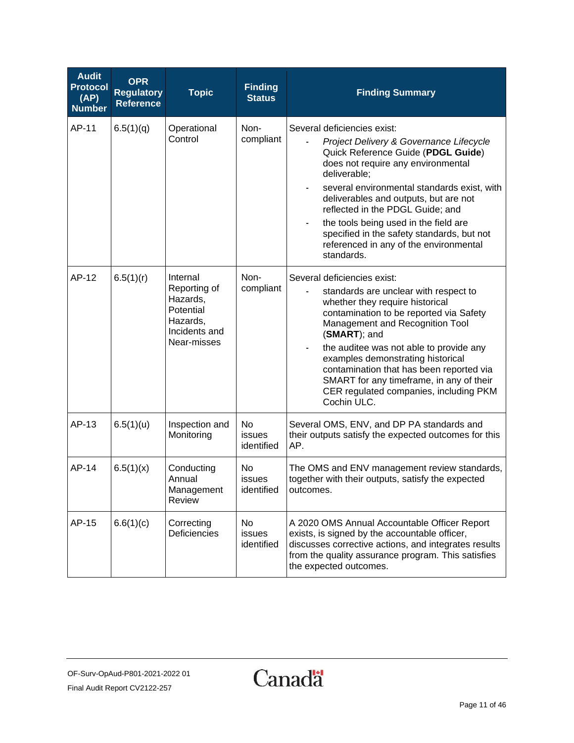| <b>Audit</b><br><b>Protocol</b><br>(AP)<br><b>Number</b> | <b>OPR</b><br><b>Regulatory</b><br><b>Reference</b> | <b>Topic</b>                                                                                  | <b>Finding</b><br><b>Status</b> | <b>Finding Summary</b>                                                                                                                                                                                                                                                                                                                                                                                                                        |
|----------------------------------------------------------|-----------------------------------------------------|-----------------------------------------------------------------------------------------------|---------------------------------|-----------------------------------------------------------------------------------------------------------------------------------------------------------------------------------------------------------------------------------------------------------------------------------------------------------------------------------------------------------------------------------------------------------------------------------------------|
| AP-11                                                    | 6.5(1)(q)                                           | Operational<br>Control                                                                        | Non-<br>compliant               | Several deficiencies exist:<br>Project Delivery & Governance Lifecycle<br>Quick Reference Guide (PDGL Guide)<br>does not require any environmental<br>deliverable;<br>several environmental standards exist, with<br>deliverables and outputs, but are not<br>reflected in the PDGL Guide; and<br>the tools being used in the field are<br>specified in the safety standards, but not<br>referenced in any of the environmental<br>standards. |
| AP-12                                                    | 6.5(1)(r)                                           | Internal<br>Reporting of<br>Hazards,<br>Potential<br>Hazards,<br>Incidents and<br>Near-misses | Non-<br>compliant               | Several deficiencies exist:<br>standards are unclear with respect to<br>whether they require historical<br>contamination to be reported via Safety<br>Management and Recognition Tool<br>(SMART); and<br>the auditee was not able to provide any<br>examples demonstrating historical<br>contamination that has been reported via<br>SMART for any timeframe, in any of their<br>CER regulated companies, including PKM<br>Cochin ULC.        |
| AP-13                                                    | 6.5(1)(u)                                           | Inspection and<br>Monitoring                                                                  | No<br>issues<br>identified      | Several OMS, ENV, and DP PA standards and<br>their outputs satisfy the expected outcomes for this<br>AP.                                                                                                                                                                                                                                                                                                                                      |
| AP-14                                                    | 6.5(1)(x)                                           | Conducting<br>Annual<br>Management<br>Review                                                  | No<br>issues<br>identified      | The OMS and ENV management review standards,<br>together with their outputs, satisfy the expected<br>outcomes.                                                                                                                                                                                                                                                                                                                                |
| AP-15                                                    | 6.6(1)(c)                                           | Correcting<br>Deficiencies                                                                    | No<br>issues<br>identified      | A 2020 OMS Annual Accountable Officer Report<br>exists, is signed by the accountable officer,<br>discusses corrective actions, and integrates results<br>from the quality assurance program. This satisfies<br>the expected outcomes.                                                                                                                                                                                                         |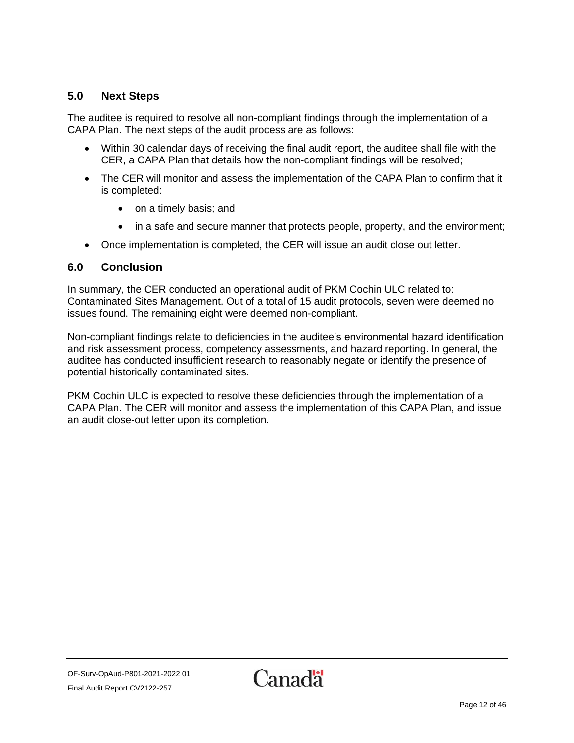### <span id="page-11-0"></span>**5.0 Next Steps**

The auditee is required to resolve all non-compliant findings through the implementation of a CAPA Plan. The next steps of the audit process are as follows:

- Within 30 calendar days of receiving the final audit report, the auditee shall file with the CER, a CAPA Plan that details how the non-compliant findings will be resolved;
- The CER will monitor and assess the implementation of the CAPA Plan to confirm that it is completed:
	- on a timely basis; and
	- in a safe and secure manner that protects people, property, and the environment;
- Once implementation is completed, the CER will issue an audit close out letter.

#### <span id="page-11-1"></span>**6.0 Conclusion**

In summary, the CER conducted an operational audit of PKM Cochin ULC related t[o:](#page-0-1) [Contaminated Sites](#page-0-1) Management. Out of a total of 15 audit protocols, seven were deemed no issues found. The remaining eight were deemed non-compliant.

Non-compliant findings relate to deficiencies in the auditee's environmental hazard identification and risk assessment process, competency assessments, and hazard reporting. In general, the auditee has conducted insufficient research to reasonably negate or identify the presence of potential historically contaminated sites.

PKM Cochin ULC is expected to resolve these deficiencies through the implementation of a CAPA Plan. The CER will monitor and assess the implementation of this CAPA Plan, and issue an audit close-out letter upon its completion.

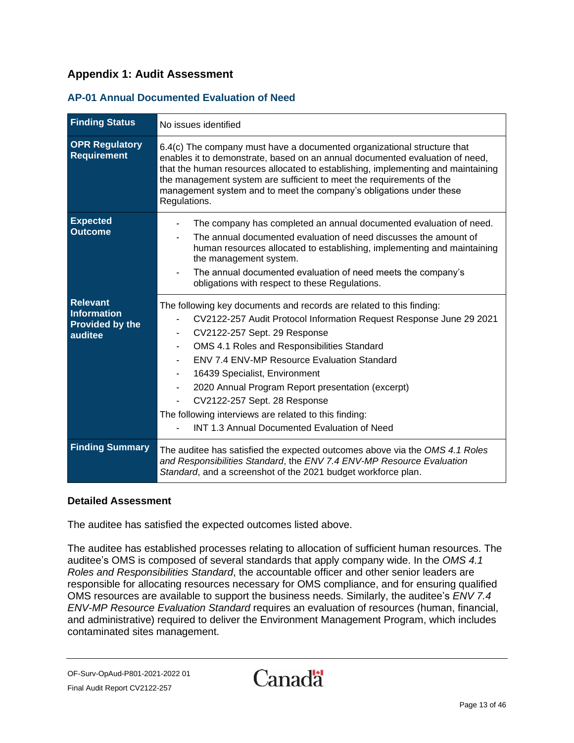### <span id="page-12-0"></span>**Appendix 1: Audit Assessment**

#### <span id="page-12-1"></span>**AP-01 Annual Documented Evaluation of Need**

| <b>Finding Status</b>                                               | No issues identified                                                                                                                                                                                                                                                                                                                                                                                                                                                                                                   |  |  |
|---------------------------------------------------------------------|------------------------------------------------------------------------------------------------------------------------------------------------------------------------------------------------------------------------------------------------------------------------------------------------------------------------------------------------------------------------------------------------------------------------------------------------------------------------------------------------------------------------|--|--|
| <b>OPR Regulatory</b><br><b>Requirement</b>                         | 6.4(c) The company must have a documented organizational structure that<br>enables it to demonstrate, based on an annual documented evaluation of need,<br>that the human resources allocated to establishing, implementing and maintaining<br>the management system are sufficient to meet the requirements of the<br>management system and to meet the company's obligations under these<br>Regulations.                                                                                                             |  |  |
| <b>Expected</b><br><b>Outcome</b>                                   | The company has completed an annual documented evaluation of need.<br>The annual documented evaluation of need discusses the amount of<br>human resources allocated to establishing, implementing and maintaining<br>the management system.<br>The annual documented evaluation of need meets the company's<br>obligations with respect to these Regulations.                                                                                                                                                          |  |  |
| <b>Relevant</b><br>Information<br><b>Provided by the</b><br>auditee | The following key documents and records are related to this finding:<br>CV2122-257 Audit Protocol Information Request Response June 29 2021<br>CV2122-257 Sept. 29 Response<br>OMS 4.1 Roles and Responsibilities Standard<br><b>ENV 7.4 ENV-MP Resource Evaluation Standard</b><br>16439 Specialist, Environment<br>2020 Annual Program Report presentation (excerpt)<br>CV2122-257 Sept. 28 Response<br>The following interviews are related to this finding:<br><b>INT 1.3 Annual Documented Evaluation of Need</b> |  |  |
| <b>Finding Summary</b>                                              | The auditee has satisfied the expected outcomes above via the OMS 4.1 Roles<br>and Responsibilities Standard, the ENV 7.4 ENV-MP Resource Evaluation<br>Standard, and a screenshot of the 2021 budget workforce plan.                                                                                                                                                                                                                                                                                                  |  |  |

#### **Detailed Assessment**

The auditee has satisfied the expected outcomes listed above.

The auditee has established processes relating to allocation of sufficient human resources. The auditee's OMS is composed of several standards that apply company wide. In the *OMS 4.1 Roles and Responsibilities Standard*, the accountable officer and other senior leaders are responsible for allocating resources necessary for OMS compliance, and for ensuring qualified OMS resources are available to support the business needs. Similarly, the auditee's *ENV 7.4 ENV-MP Resource Evaluation Standard* requires an evaluation of resources (human, financial, and administrative) required to deliver the Environment Management Program, which includes contaminated sites management.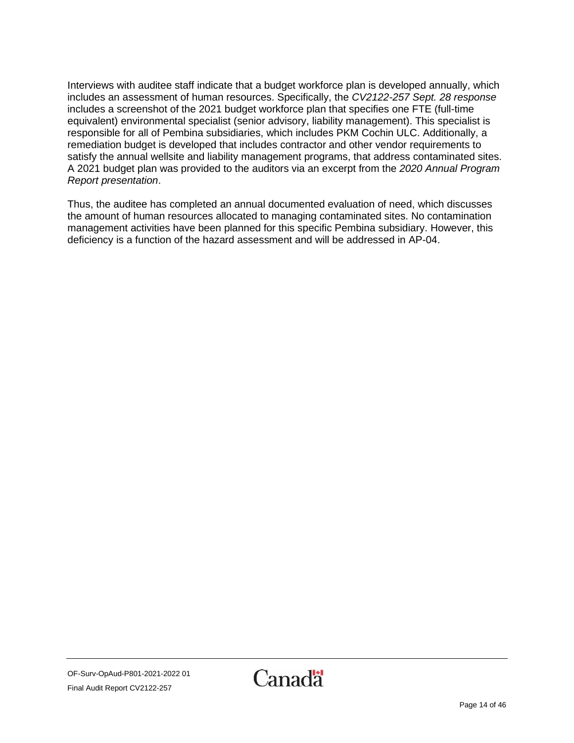Interviews with auditee staff indicate that a budget workforce plan is developed annually, which includes an assessment of human resources. Specifically, the *CV2122-257 Sept. 28 response* includes a screenshot of the 2021 budget workforce plan that specifies one FTE (full-time equivalent) environmental specialist (senior advisory, liability management). This specialist is responsible for all of Pembina subsidiaries, which includes PKM Cochin ULC. Additionally, a remediation budget is developed that includes contractor and other vendor requirements to satisfy the annual wellsite and liability management programs, that address contaminated sites. A 2021 budget plan was provided to the auditors via an excerpt from the *2020 Annual Program Report presentation*.

Thus, the auditee has completed an annual documented evaluation of need, which discusses the amount of human resources allocated to managing contaminated sites. No contamination management activities have been planned for this specific Pembina subsidiary. However, this deficiency is a function of the hazard assessment and will be addressed in AP-04.

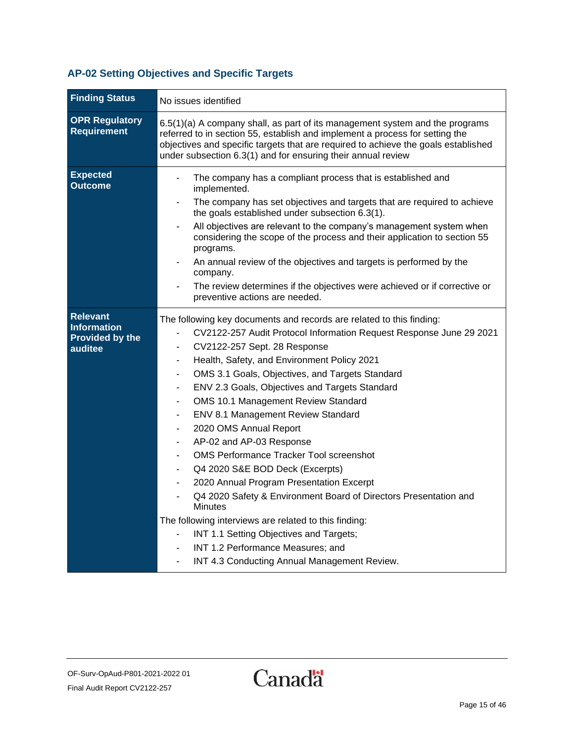### <span id="page-14-0"></span>**AP-02 Setting Objectives and Specific Targets**

| <b>Finding Status</b>                                                      | No issues identified                                                                                                                                                                                                                                                                                                                                                                                                                                                                                                                                                                                                                                                                                                                                                                                                                                                                                                                                                 |  |  |
|----------------------------------------------------------------------------|----------------------------------------------------------------------------------------------------------------------------------------------------------------------------------------------------------------------------------------------------------------------------------------------------------------------------------------------------------------------------------------------------------------------------------------------------------------------------------------------------------------------------------------------------------------------------------------------------------------------------------------------------------------------------------------------------------------------------------------------------------------------------------------------------------------------------------------------------------------------------------------------------------------------------------------------------------------------|--|--|
| <b>OPR Regulatory</b><br><b>Requirement</b>                                | 6.5(1)(a) A company shall, as part of its management system and the programs<br>referred to in section 55, establish and implement a process for setting the<br>objectives and specific targets that are required to achieve the goals established<br>under subsection 6.3(1) and for ensuring their annual review                                                                                                                                                                                                                                                                                                                                                                                                                                                                                                                                                                                                                                                   |  |  |
| <b>Expected</b><br><b>Outcome</b>                                          | The company has a compliant process that is established and<br>implemented.<br>The company has set objectives and targets that are required to achieve<br>the goals established under subsection 6.3(1).<br>All objectives are relevant to the company's management system when<br>considering the scope of the process and their application to section 55<br>programs.<br>An annual review of the objectives and targets is performed by the<br>company.<br>The review determines if the objectives were achieved or if corrective or<br>preventive actions are needed.                                                                                                                                                                                                                                                                                                                                                                                            |  |  |
| <b>Relevant</b><br><b>Information</b><br><b>Provided by the</b><br>auditee | The following key documents and records are related to this finding:<br>CV2122-257 Audit Protocol Information Request Response June 29 2021<br>CV2122-257 Sept. 28 Response<br>Health, Safety, and Environment Policy 2021<br>OMS 3.1 Goals, Objectives, and Targets Standard<br>ENV 2.3 Goals, Objectives and Targets Standard<br>$\blacksquare$<br><b>OMS 10.1 Management Review Standard</b><br>$\overline{\phantom{a}}$<br>ENV 8.1 Management Review Standard<br>$\blacksquare$<br>2020 OMS Annual Report<br>$\blacksquare$<br>AP-02 and AP-03 Response<br>OMS Performance Tracker Tool screenshot<br>Q4 2020 S&E BOD Deck (Excerpts)<br>2020 Annual Program Presentation Excerpt<br>Q4 2020 Safety & Environment Board of Directors Presentation and<br><b>Minutes</b><br>The following interviews are related to this finding:<br>INT 1.1 Setting Objectives and Targets;<br>INT 1.2 Performance Measures; and<br>INT 4.3 Conducting Annual Management Review. |  |  |

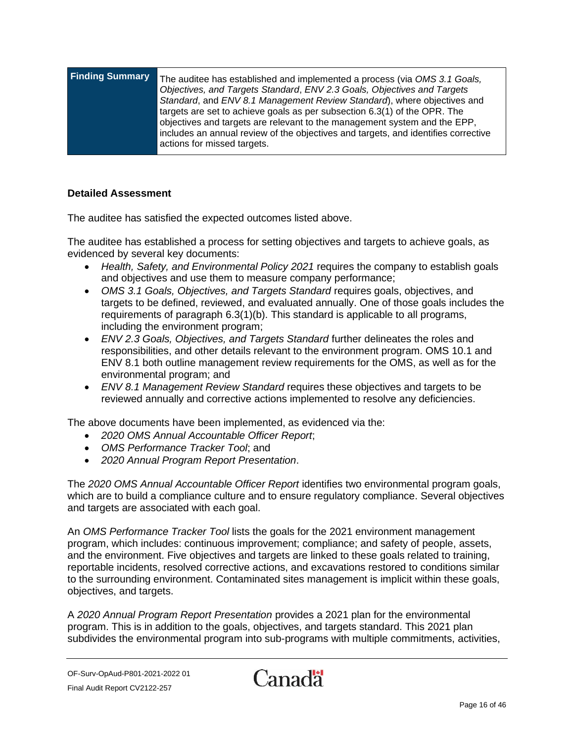| <b>Finding Summary</b> | The auditee has established and implemented a process (via OMS 3.1 Goals,<br>Objectives, and Targets Standard, ENV 2.3 Goals, Objectives and Targets<br>Standard, and ENV 8.1 Management Review Standard), where objectives and<br>targets are set to achieve goals as per subsection 6.3(1) of the OPR. The<br>objectives and targets are relevant to the management system and the EPP,<br>includes an annual review of the objectives and targets, and identifies corrective |
|------------------------|---------------------------------------------------------------------------------------------------------------------------------------------------------------------------------------------------------------------------------------------------------------------------------------------------------------------------------------------------------------------------------------------------------------------------------------------------------------------------------|
|                        | actions for missed targets.                                                                                                                                                                                                                                                                                                                                                                                                                                                     |

The auditee has satisfied the expected outcomes listed above.

The auditee has established a process for setting objectives and targets to achieve goals, as evidenced by several key documents:

- *Health, Safety, and Environmental Policy 2021* requires the company to establish goals and objectives and use them to measure company performance;
- *OMS 3.1 Goals, Objectives, and Targets Standard* requires goals, objectives, and targets to be defined, reviewed, and evaluated annually. One of those goals includes the requirements of paragraph 6.3(1)(b). This standard is applicable to all programs, including the environment program;
- *ENV 2.3 Goals, Objectives, and Targets Standard* further delineates the roles and responsibilities, and other details relevant to the environment program. OMS 10.1 and ENV 8.1 both outline management review requirements for the OMS, as well as for the environmental program; and
- *ENV 8.1 Management Review Standard* requires these objectives and targets to be reviewed annually and corrective actions implemented to resolve any deficiencies.

The above documents have been implemented, as evidenced via the:

- *2020 OMS Annual Accountable Officer Report*;
- *OMS Performance Tracker Tool*; and
- *2020 Annual Program Report Presentation*.

The *2020 OMS Annual Accountable Officer Report* identifies two environmental program goals, which are to build a compliance culture and to ensure regulatory compliance. Several objectives and targets are associated with each goal.

An *OMS Performance Tracker Tool* lists the goals for the 2021 environment management program, which includes: continuous improvement; compliance; and safety of people, assets, and the environment. Five objectives and targets are linked to these goals related to training, reportable incidents, resolved corrective actions, and excavations restored to conditions similar to the surrounding environment. Contaminated sites management is implicit within these goals, objectives, and targets.

A *2020 Annual Program Report Presentation* provides a 2021 plan for the environmental program. This is in addition to the goals, objectives, and targets standard. This 2021 plan subdivides the environmental program into sub-programs with multiple commitments, activities,

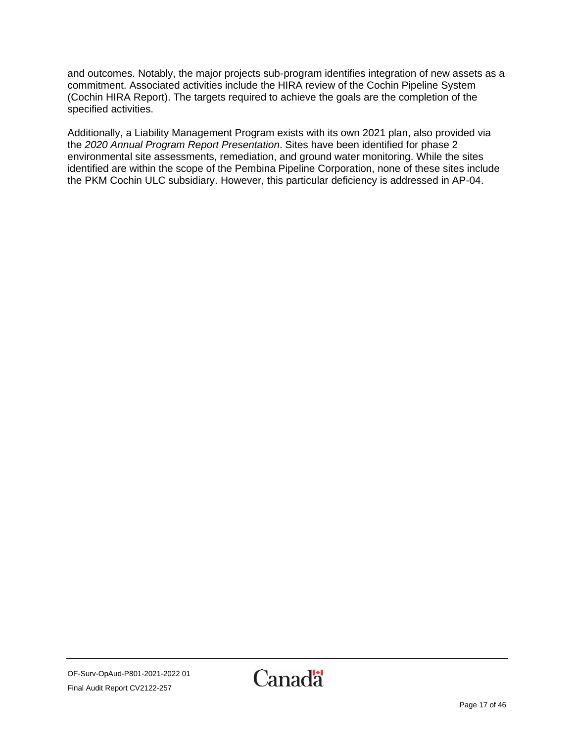and outcomes. Notably, the major projects sub-program identifies integration of new assets as a commitment. Associated activities include the HIRA review of the Cochin Pipeline System (Cochin HIRA Report). The targets required to achieve the goals are the completion of the specified activities.

Additionally, a Liability Management Program exists with its own 2021 plan, also provided via the *2020 Annual Program Report Presentation*. Sites have been identified for phase 2 environmental site assessments, remediation, and ground water monitoring. While the sites identified are within the scope of the Pembina Pipeline Corporation, none of these sites include the PKM Cochin ULC subsidiary. However, this particular deficiency is addressed in AP-04.

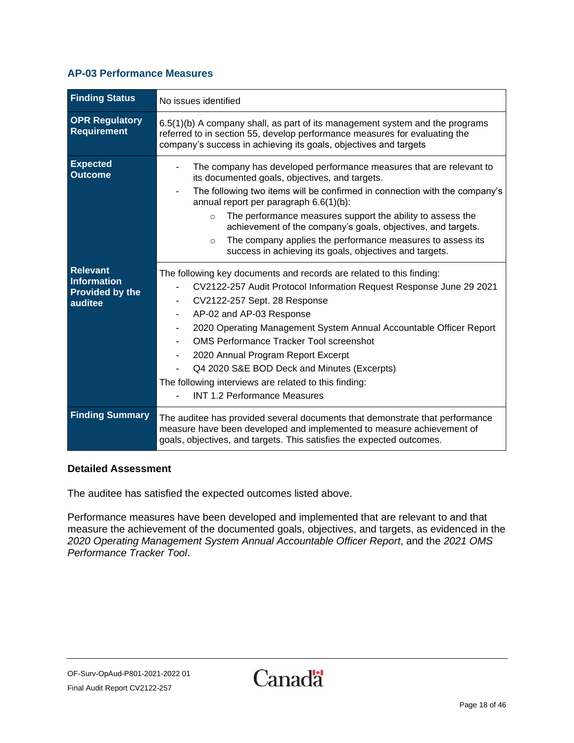#### <span id="page-17-0"></span>**AP-03 Performance Measures**

| <b>Finding Status</b>                                               | No issues identified                                                                                                                                                                                                                                                                                                                                                                                                                                                                                                        |  |  |
|---------------------------------------------------------------------|-----------------------------------------------------------------------------------------------------------------------------------------------------------------------------------------------------------------------------------------------------------------------------------------------------------------------------------------------------------------------------------------------------------------------------------------------------------------------------------------------------------------------------|--|--|
| <b>OPR Regulatory</b><br>Requirement                                | 6.5(1)(b) A company shall, as part of its management system and the programs<br>referred to in section 55, develop performance measures for evaluating the<br>company's success in achieving its goals, objectives and targets                                                                                                                                                                                                                                                                                              |  |  |
| <b>Expected</b><br><b>Outcome</b>                                   | The company has developed performance measures that are relevant to<br>its documented goals, objectives, and targets.<br>The following two items will be confirmed in connection with the company's<br>annual report per paragraph 6.6(1)(b):<br>The performance measures support the ability to assess the<br>$\circ$<br>achievement of the company's goals, objectives, and targets.<br>The company applies the performance measures to assess its<br>$\Omega$<br>success in achieving its goals, objectives and targets. |  |  |
| <b>Relevant</b><br>Information<br><b>Provided by the</b><br>auditee | The following key documents and records are related to this finding:<br>CV2122-257 Audit Protocol Information Request Response June 29 2021<br>CV2122-257 Sept. 28 Response<br>AP-02 and AP-03 Response<br>2020 Operating Management System Annual Accountable Officer Report<br><b>OMS Performance Tracker Tool screenshot</b><br>2020 Annual Program Report Excerpt<br>Q4 2020 S&E BOD Deck and Minutes (Excerpts)<br>The following interviews are related to this finding:<br><b>INT 1.2 Performance Measures</b>        |  |  |
| <b>Finding Summary</b>                                              | The auditee has provided several documents that demonstrate that performance<br>measure have been developed and implemented to measure achievement of<br>goals, objectives, and targets. This satisfies the expected outcomes.                                                                                                                                                                                                                                                                                              |  |  |

#### **Detailed Assessment**

The auditee has satisfied the expected outcomes listed above.

Performance measures have been developed and implemented that are relevant to and that measure the achievement of the documented goals, objectives, and targets, as evidenced in the *2020 Operating Management System Annual Accountable Officer Report*, and the *2021 OMS Performance Tracker Tool*.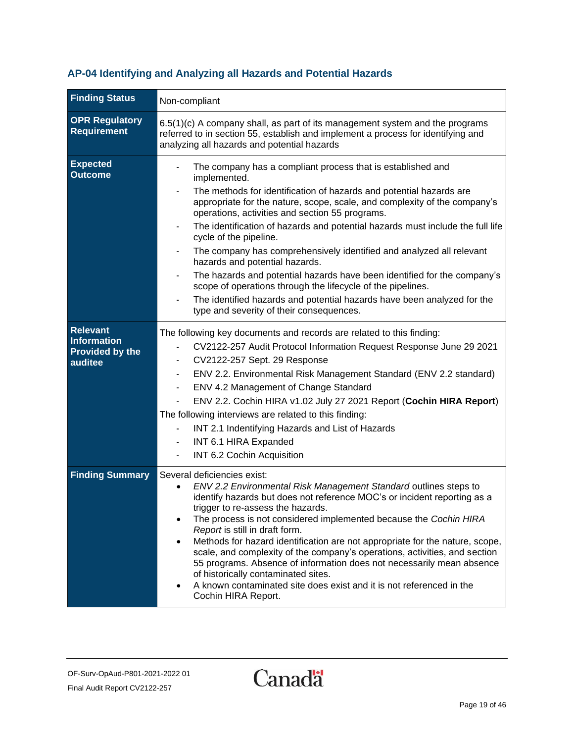### <span id="page-18-0"></span>**AP-04 Identifying and Analyzing all Hazards and Potential Hazards**

| <b>Finding Status</b>                                               | Non-compliant                                                                                                                                                                                                                                                                                                                                                                                                                                                                                                                                                                                                                                                                                                                                                              |  |  |
|---------------------------------------------------------------------|----------------------------------------------------------------------------------------------------------------------------------------------------------------------------------------------------------------------------------------------------------------------------------------------------------------------------------------------------------------------------------------------------------------------------------------------------------------------------------------------------------------------------------------------------------------------------------------------------------------------------------------------------------------------------------------------------------------------------------------------------------------------------|--|--|
| <b>OPR Regulatory</b><br><b>Requirement</b>                         | 6.5(1)(c) A company shall, as part of its management system and the programs<br>referred to in section 55, establish and implement a process for identifying and<br>analyzing all hazards and potential hazards                                                                                                                                                                                                                                                                                                                                                                                                                                                                                                                                                            |  |  |
| <b>Expected</b><br><b>Outcome</b>                                   | The company has a compliant process that is established and<br>implemented.<br>The methods for identification of hazards and potential hazards are<br>appropriate for the nature, scope, scale, and complexity of the company's<br>operations, activities and section 55 programs.<br>The identification of hazards and potential hazards must include the full life<br>cycle of the pipeline.<br>The company has comprehensively identified and analyzed all relevant<br>hazards and potential hazards.<br>The hazards and potential hazards have been identified for the company's<br>scope of operations through the lifecycle of the pipelines.<br>The identified hazards and potential hazards have been analyzed for the<br>type and severity of their consequences. |  |  |
| <b>Relevant</b><br>Information<br><b>Provided by the</b><br>auditee | The following key documents and records are related to this finding:<br>CV2122-257 Audit Protocol Information Request Response June 29 2021<br>CV2122-257 Sept. 29 Response<br>ENV 2.2. Environmental Risk Management Standard (ENV 2.2 standard)<br>ENV 4.2 Management of Change Standard<br>ENV 2.2. Cochin HIRA v1.02 July 27 2021 Report (Cochin HIRA Report)<br>The following interviews are related to this finding:<br>INT 2.1 Indentifying Hazards and List of Hazards<br>INT 6.1 HIRA Expanded<br>INT 6.2 Cochin Acquisition                                                                                                                                                                                                                                      |  |  |
| <b>Finding Summary</b>                                              | Several deficiencies exist:<br>ENV 2.2 Environmental Risk Management Standard outlines steps to<br>identify hazards but does not reference MOC's or incident reporting as a<br>trigger to re-assess the hazards.<br>The process is not considered implemented because the Cochin HIRA<br>Report is still in draft form.<br>Methods for hazard identification are not appropriate for the nature, scope,<br>٠<br>scale, and complexity of the company's operations, activities, and section<br>55 programs. Absence of information does not necessarily mean absence<br>of historically contaminated sites.<br>A known contaminated site does exist and it is not referenced in the<br>٠<br>Cochin HIRA Report.                                                             |  |  |

OF-Surv-OpAud-P801-2021-2022 01 Final Audit Report CV2122-257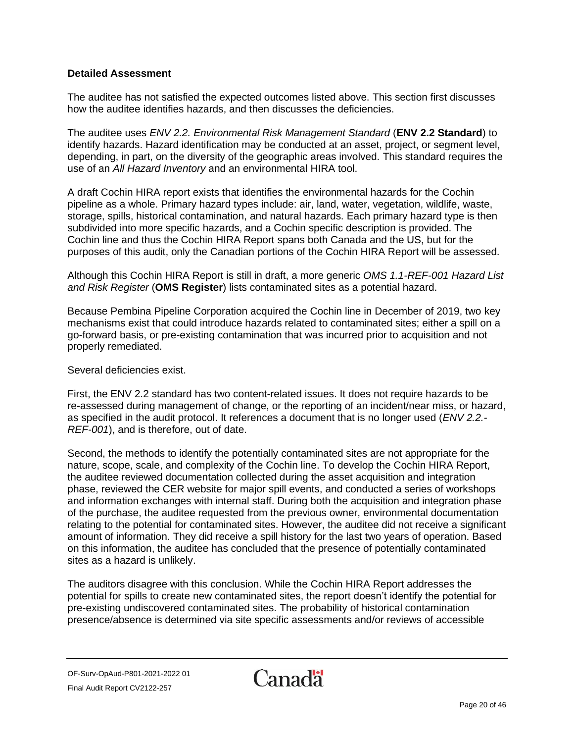The auditee has not satisfied the expected outcomes listed above. This section first discusses how the auditee identifies hazards, and then discusses the deficiencies.

The auditee uses *ENV 2.2. Environmental Risk Management Standard* (**ENV 2.2 Standard**) to identify hazards. Hazard identification may be conducted at an asset, project, or segment level, depending, in part, on the diversity of the geographic areas involved. This standard requires the use of an *All Hazard Inventory* and an environmental HIRA tool.

A draft Cochin HIRA report exists that identifies the environmental hazards for the Cochin pipeline as a whole. Primary hazard types include: air, land, water, vegetation, wildlife, waste, storage, spills, historical contamination, and natural hazards. Each primary hazard type is then subdivided into more specific hazards, and a Cochin specific description is provided. The Cochin line and thus the Cochin HIRA Report spans both Canada and the US, but for the purposes of this audit, only the Canadian portions of the Cochin HIRA Report will be assessed.

Although this Cochin HIRA Report is still in draft, a more generic *OMS 1.1-REF-001 Hazard List and Risk Register* (**OMS Register**) lists contaminated sites as a potential hazard.

Because Pembina Pipeline Corporation acquired the Cochin line in December of 2019, two key mechanisms exist that could introduce hazards related to contaminated sites; either a spill on a go-forward basis, or pre-existing contamination that was incurred prior to acquisition and not properly remediated.

#### Several deficiencies exist.

First, the ENV 2.2 standard has two content-related issues. It does not require hazards to be re-assessed during management of change, or the reporting of an incident/near miss, or hazard, as specified in the audit protocol. It references a document that is no longer used (*ENV 2.2.- REF-001*), and is therefore, out of date.

Second, the methods to identify the potentially contaminated sites are not appropriate for the nature, scope, scale, and complexity of the Cochin line. To develop the Cochin HIRA Report, the auditee reviewed documentation collected during the asset acquisition and integration phase, reviewed the CER website for major spill events, and conducted a series of workshops and information exchanges with internal staff. During both the acquisition and integration phase of the purchase, the auditee requested from the previous owner, environmental documentation relating to the potential for contaminated sites. However, the auditee did not receive a significant amount of information. They did receive a spill history for the last two years of operation. Based on this information, the auditee has concluded that the presence of potentially contaminated sites as a hazard is unlikely.

The auditors disagree with this conclusion. While the Cochin HIRA Report addresses the potential for spills to create new contaminated sites, the report doesn't identify the potential for pre-existing undiscovered contaminated sites. The probability of historical contamination presence/absence is determined via site specific assessments and/or reviews of accessible

OF-Surv-OpAud-P801-2021-2022 01 Final Audit Report CV2122-257

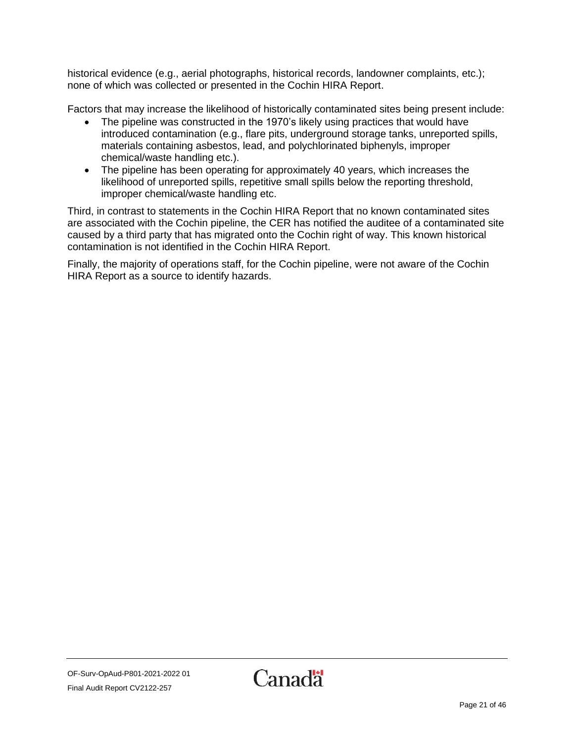historical evidence (e.g., aerial photographs, historical records, landowner complaints, etc.); none of which was collected or presented in the Cochin HIRA Report.

Factors that may increase the likelihood of historically contaminated sites being present include:

- The pipeline was constructed in the 1970's likely using practices that would have introduced contamination (e.g., flare pits, underground storage tanks, unreported spills, materials containing asbestos, lead, and polychlorinated biphenyls, improper chemical/waste handling etc.).
- The pipeline has been operating for approximately 40 years, which increases the likelihood of unreported spills, repetitive small spills below the reporting threshold, improper chemical/waste handling etc.

Third, in contrast to statements in the Cochin HIRA Report that no known contaminated sites are associated with the Cochin pipeline, the CER has notified the auditee of a contaminated site caused by a third party that has migrated onto the Cochin right of way. This known historical contamination is not identified in the Cochin HIRA Report.

Finally, the majority of operations staff, for the Cochin pipeline, were not aware of the Cochin HIRA Report as a source to identify hazards.

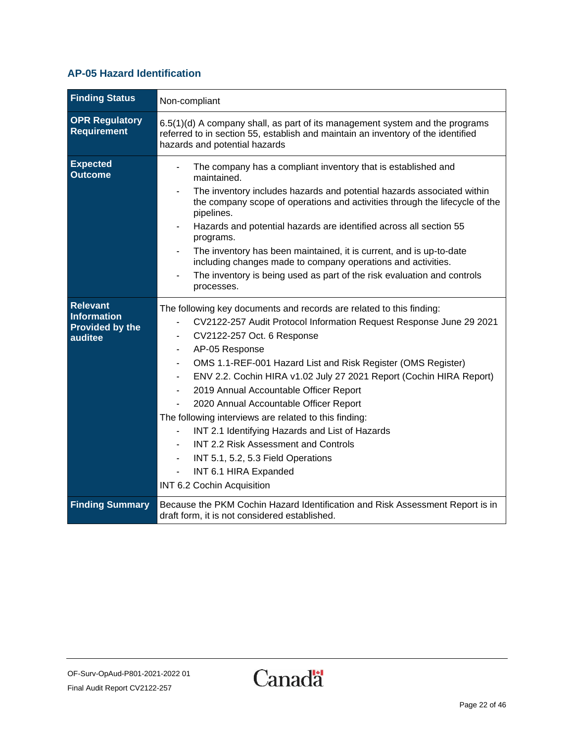### <span id="page-21-0"></span>**AP-05 Hazard Identification**

| <b>Finding Status</b>                                                      | Non-compliant                                                                                                                                                                                                                                                                                                                                                                                                                                                                                                                                                                                                                                                                                   |
|----------------------------------------------------------------------------|-------------------------------------------------------------------------------------------------------------------------------------------------------------------------------------------------------------------------------------------------------------------------------------------------------------------------------------------------------------------------------------------------------------------------------------------------------------------------------------------------------------------------------------------------------------------------------------------------------------------------------------------------------------------------------------------------|
| <b>OPR Regulatory</b><br>Requirement                                       | 6.5(1)(d) A company shall, as part of its management system and the programs<br>referred to in section 55, establish and maintain an inventory of the identified<br>hazards and potential hazards                                                                                                                                                                                                                                                                                                                                                                                                                                                                                               |
| <b>Expected</b><br><b>Outcome</b>                                          | The company has a compliant inventory that is established and<br>maintained.<br>The inventory includes hazards and potential hazards associated within<br>the company scope of operations and activities through the lifecycle of the<br>pipelines.<br>Hazards and potential hazards are identified across all section 55<br>programs.<br>The inventory has been maintained, it is current, and is up-to-date<br>including changes made to company operations and activities.<br>The inventory is being used as part of the risk evaluation and controls<br>processes.                                                                                                                          |
| <b>Relevant</b><br><b>Information</b><br><b>Provided by the</b><br>auditee | The following key documents and records are related to this finding:<br>CV2122-257 Audit Protocol Information Request Response June 29 2021<br>CV2122-257 Oct. 6 Response<br>AP-05 Response<br>OMS 1.1-REF-001 Hazard List and Risk Register (OMS Register)<br>ENV 2.2. Cochin HIRA v1.02 July 27 2021 Report (Cochin HIRA Report)<br>2019 Annual Accountable Officer Report<br>$\blacksquare$<br>2020 Annual Accountable Officer Report<br>The following interviews are related to this finding:<br>INT 2.1 Identifying Hazards and List of Hazards<br>INT 2.2 Risk Assessment and Controls<br>INT 5.1, 5.2, 5.3 Field Operations<br>L,<br>INT 6.1 HIRA Expanded<br>INT 6.2 Cochin Acquisition |
| <b>Finding Summary</b>                                                     | Because the PKM Cochin Hazard Identification and Risk Assessment Report is in<br>draft form, it is not considered established.                                                                                                                                                                                                                                                                                                                                                                                                                                                                                                                                                                  |

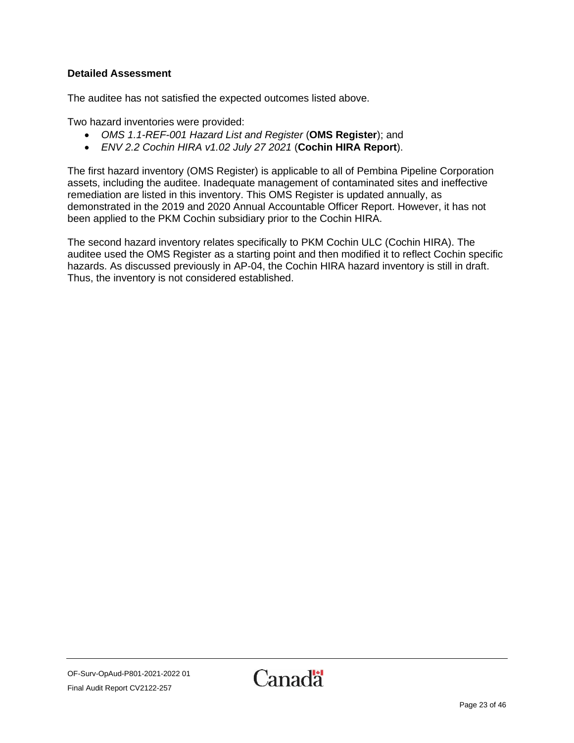The auditee has not satisfied the expected outcomes listed above.

Two hazard inventories were provided:

- *OMS 1.1-REF-001 Hazard List and Register* (**OMS Register**); and
- *ENV 2.2 Cochin HIRA v1.02 July 27 2021* (**Cochin HIRA Report**).

The first hazard inventory (OMS Register) is applicable to all of Pembina Pipeline Corporation assets, including the auditee. Inadequate management of contaminated sites and ineffective remediation are listed in this inventory. This OMS Register is updated annually, as demonstrated in the 2019 and 2020 Annual Accountable Officer Report. However, it has not been applied to the PKM Cochin subsidiary prior to the Cochin HIRA.

The second hazard inventory relates specifically to PKM Cochin ULC (Cochin HIRA). The auditee used the OMS Register as a starting point and then modified it to reflect Cochin specific hazards. As discussed previously in AP-04, the Cochin HIRA hazard inventory is still in draft. Thus, the inventory is not considered established.

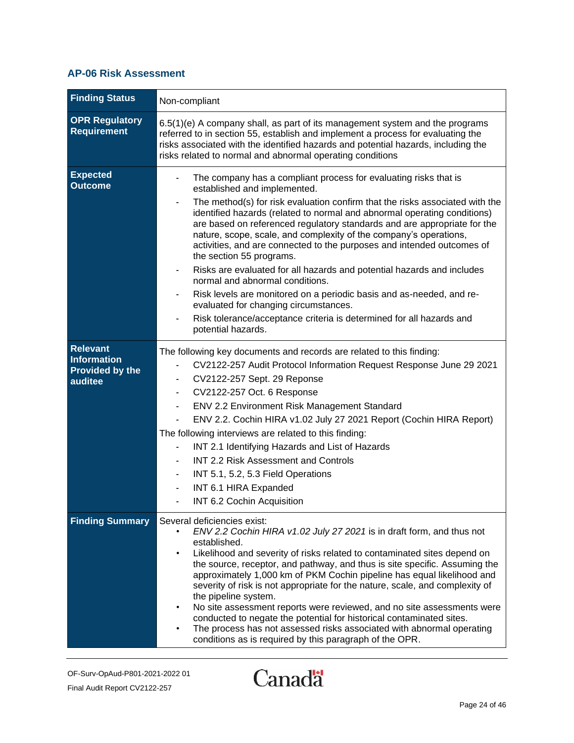#### <span id="page-23-0"></span>**AP-06 Risk Assessment**

| <b>Finding Status</b>                                                      | Non-compliant                                                                                                                                                                                                                                                                                                                                                                                                                                                                                                                                                                                                                                                                                                                                                                                                                                   |
|----------------------------------------------------------------------------|-------------------------------------------------------------------------------------------------------------------------------------------------------------------------------------------------------------------------------------------------------------------------------------------------------------------------------------------------------------------------------------------------------------------------------------------------------------------------------------------------------------------------------------------------------------------------------------------------------------------------------------------------------------------------------------------------------------------------------------------------------------------------------------------------------------------------------------------------|
| <b>OPR Regulatory</b><br><b>Requirement</b>                                | 6.5(1)(e) A company shall, as part of its management system and the programs<br>referred to in section 55, establish and implement a process for evaluating the<br>risks associated with the identified hazards and potential hazards, including the<br>risks related to normal and abnormal operating conditions                                                                                                                                                                                                                                                                                                                                                                                                                                                                                                                               |
| <b>Expected</b><br><b>Outcome</b>                                          | The company has a compliant process for evaluating risks that is<br>established and implemented.<br>The method(s) for risk evaluation confirm that the risks associated with the<br>identified hazards (related to normal and abnormal operating conditions)<br>are based on referenced regulatory standards and are appropriate for the<br>nature, scope, scale, and complexity of the company's operations,<br>activities, and are connected to the purposes and intended outcomes of<br>the section 55 programs.<br>Risks are evaluated for all hazards and potential hazards and includes<br>normal and abnormal conditions.<br>Risk levels are monitored on a periodic basis and as-needed, and re-<br>evaluated for changing circumstances.<br>Risk tolerance/acceptance criteria is determined for all hazards and<br>potential hazards. |
| <b>Relevant</b><br><b>Information</b><br><b>Provided by the</b><br>auditee | The following key documents and records are related to this finding:<br>CV2122-257 Audit Protocol Information Request Response June 29 2021<br>CV2122-257 Sept. 29 Reponse<br>$\blacksquare$<br>CV2122-257 Oct. 6 Response<br>$\blacksquare$<br>ENV 2.2 Environment Risk Management Standard<br>ENV 2.2. Cochin HIRA v1.02 July 27 2021 Report (Cochin HIRA Report)<br>The following interviews are related to this finding:<br>INT 2.1 Identifying Hazards and List of Hazards<br><b>INT 2.2 Risk Assessment and Controls</b><br>INT 5.1, 5.2, 5.3 Field Operations<br>INT 6.1 HIRA Expanded<br>INT 6.2 Cochin Acquisition                                                                                                                                                                                                                     |
| <b>Finding Summary</b>                                                     | Several deficiencies exist:<br>ENV 2.2 Cochin HIRA v1.02 July 27 2021 is in draft form, and thus not<br>established.<br>Likelihood and severity of risks related to contaminated sites depend on<br>$\bullet$<br>the source, receptor, and pathway, and thus is site specific. Assuming the<br>approximately 1,000 km of PKM Cochin pipeline has equal likelihood and<br>severity of risk is not appropriate for the nature, scale, and complexity of<br>the pipeline system.<br>No site assessment reports were reviewed, and no site assessments were<br>conducted to negate the potential for historical contaminated sites.<br>The process has not assessed risks associated with abnormal operating<br>conditions as is required by this paragraph of the OPR.                                                                             |

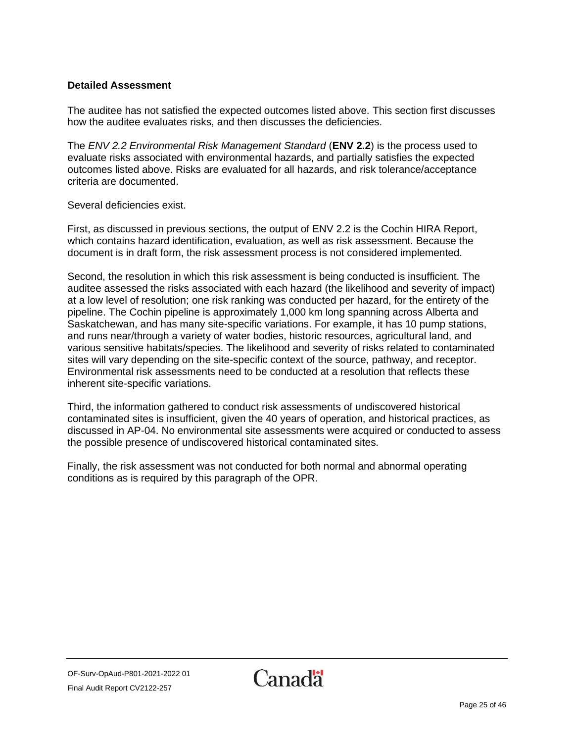The auditee has not satisfied the expected outcomes listed above. This section first discusses how the auditee evaluates risks, and then discusses the deficiencies.

The *ENV 2.2 Environmental Risk Management Standard* (**ENV 2.2**) is the process used to evaluate risks associated with environmental hazards, and partially satisfies the expected outcomes listed above. Risks are evaluated for all hazards, and risk tolerance/acceptance criteria are documented.

Several deficiencies exist.

First, as discussed in previous sections, the output of ENV 2.2 is the Cochin HIRA Report, which contains hazard identification, evaluation, as well as risk assessment. Because the document is in draft form, the risk assessment process is not considered implemented.

Second, the resolution in which this risk assessment is being conducted is insufficient. The auditee assessed the risks associated with each hazard (the likelihood and severity of impact) at a low level of resolution; one risk ranking was conducted per hazard, for the entirety of the pipeline. The Cochin pipeline is approximately 1,000 km long spanning across Alberta and Saskatchewan, and has many site-specific variations. For example, it has 10 pump stations, and runs near/through a variety of water bodies, historic resources, agricultural land, and various sensitive habitats/species. The likelihood and severity of risks related to contaminated sites will vary depending on the site-specific context of the source, pathway, and receptor. Environmental risk assessments need to be conducted at a resolution that reflects these inherent site-specific variations.

Third, the information gathered to conduct risk assessments of undiscovered historical contaminated sites is insufficient, given the 40 years of operation, and historical practices, as discussed in AP-04. No environmental site assessments were acquired or conducted to assess the possible presence of undiscovered historical contaminated sites.

Finally, the risk assessment was not conducted for both normal and abnormal operating conditions as is required by this paragraph of the OPR.

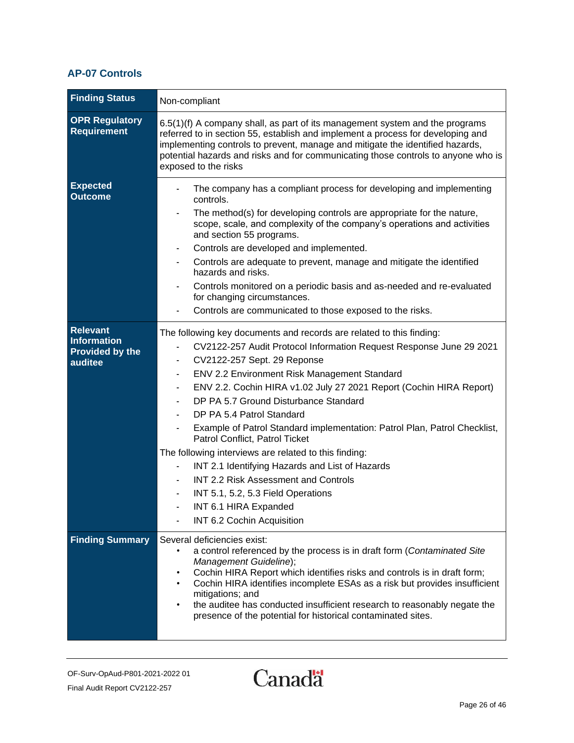#### <span id="page-25-0"></span>**AP-07 Controls**

| <b>Finding Status</b>                                               | Non-compliant                                                                                                                                                                                                                                                                                                                                                                                                                                                                                                                                                                                                                                                                                                                                                                                          |
|---------------------------------------------------------------------|--------------------------------------------------------------------------------------------------------------------------------------------------------------------------------------------------------------------------------------------------------------------------------------------------------------------------------------------------------------------------------------------------------------------------------------------------------------------------------------------------------------------------------------------------------------------------------------------------------------------------------------------------------------------------------------------------------------------------------------------------------------------------------------------------------|
| <b>OPR Regulatory</b><br><b>Requirement</b>                         | 6.5(1)(f) A company shall, as part of its management system and the programs<br>referred to in section 55, establish and implement a process for developing and<br>implementing controls to prevent, manage and mitigate the identified hazards,<br>potential hazards and risks and for communicating those controls to anyone who is<br>exposed to the risks                                                                                                                                                                                                                                                                                                                                                                                                                                          |
| <b>Expected</b><br><b>Outcome</b>                                   | The company has a compliant process for developing and implementing<br>controls.<br>The method(s) for developing controls are appropriate for the nature,<br>scope, scale, and complexity of the company's operations and activities<br>and section 55 programs.<br>Controls are developed and implemented.<br>Controls are adequate to prevent, manage and mitigate the identified<br>hazards and risks.<br>Controls monitored on a periodic basis and as-needed and re-evaluated<br>for changing circumstances.<br>Controls are communicated to those exposed to the risks.                                                                                                                                                                                                                          |
| <b>Relevant</b><br>Information<br><b>Provided by the</b><br>auditee | The following key documents and records are related to this finding:<br>CV2122-257 Audit Protocol Information Request Response June 29 2021<br>CV2122-257 Sept. 29 Reponse<br>$\overline{\phantom{a}}$<br>ENV 2.2 Environment Risk Management Standard<br>ENV 2.2. Cochin HIRA v1.02 July 27 2021 Report (Cochin HIRA Report)<br>DP PA 5.7 Ground Disturbance Standard<br>DP PA 5.4 Patrol Standard<br>Example of Patrol Standard implementation: Patrol Plan, Patrol Checklist,<br>$\overline{\phantom{a}}$<br>Patrol Conflict, Patrol Ticket<br>The following interviews are related to this finding:<br>INT 2.1 Identifying Hazards and List of Hazards<br><b>INT 2.2 Risk Assessment and Controls</b><br>INT 5.1, 5.2, 5.3 Field Operations<br>INT 6.1 HIRA Expanded<br>INT 6.2 Cochin Acquisition |
| <b>Finding Summary</b>                                              | Several deficiencies exist:<br>a control referenced by the process is in draft form (Contaminated Site<br>Management Guideline);<br>Cochin HIRA Report which identifies risks and controls is in draft form;<br>Cochin HIRA identifies incomplete ESAs as a risk but provides insufficient<br>$\bullet$<br>mitigations; and<br>the auditee has conducted insufficient research to reasonably negate the<br>٠<br>presence of the potential for historical contaminated sites.                                                                                                                                                                                                                                                                                                                           |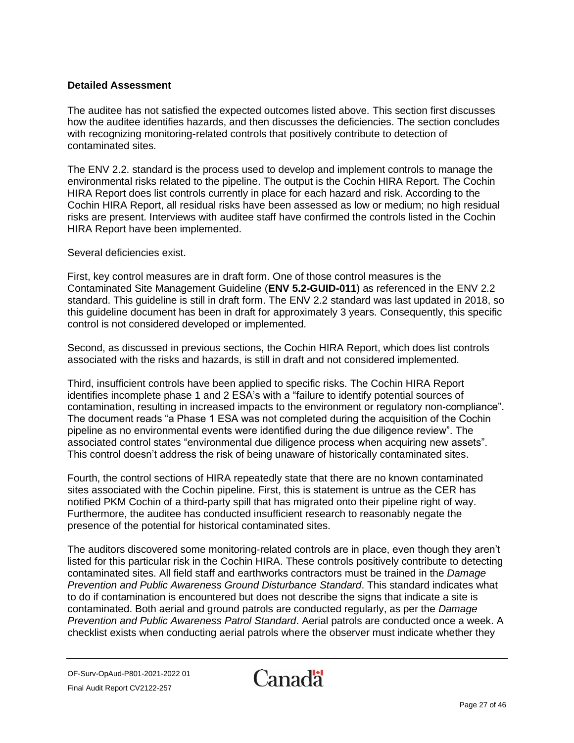The auditee has not satisfied the expected outcomes listed above. This section first discusses how the auditee identifies hazards, and then discusses the deficiencies. The section concludes with recognizing monitoring-related controls that positively contribute to detection of contaminated sites.

The ENV 2.2. standard is the process used to develop and implement controls to manage the environmental risks related to the pipeline. The output is the Cochin HIRA Report. The Cochin HIRA Report does list controls currently in place for each hazard and risk. According to the Cochin HIRA Report, all residual risks have been assessed as low or medium; no high residual risks are present. Interviews with auditee staff have confirmed the controls listed in the Cochin HIRA Report have been implemented.

Several deficiencies exist.

First, key control measures are in draft form. One of those control measures is the Contaminated Site Management Guideline (**ENV 5.2-GUID-011**) as referenced in the ENV 2.2 standard. This guideline is still in draft form. The ENV 2.2 standard was last updated in 2018, so this guideline document has been in draft for approximately 3 years. Consequently, this specific control is not considered developed or implemented.

Second, as discussed in previous sections, the Cochin HIRA Report, which does list controls associated with the risks and hazards, is still in draft and not considered implemented.

Third, insufficient controls have been applied to specific risks. The Cochin HIRA Report identifies incomplete phase 1 and 2 ESA's with a "failure to identify potential sources of contamination, resulting in increased impacts to the environment or regulatory non-compliance". The document reads "a Phase 1 ESA was not completed during the acquisition of the Cochin pipeline as no environmental events were identified during the due diligence review". The associated control states "environmental due diligence process when acquiring new assets". This control doesn't address the risk of being unaware of historically contaminated sites.

Fourth, the control sections of HIRA repeatedly state that there are no known contaminated sites associated with the Cochin pipeline. First, this is statement is untrue as the CER has notified PKM Cochin of a third-party spill that has migrated onto their pipeline right of way. Furthermore, the auditee has conducted insufficient research to reasonably negate the presence of the potential for historical contaminated sites.

The auditors discovered some monitoring-related controls are in place, even though they aren't listed for this particular risk in the Cochin HIRA. These controls positively contribute to detecting contaminated sites. All field staff and earthworks contractors must be trained in the *Damage Prevention and Public Awareness Ground Disturbance Standard*. This standard indicates what to do if contamination is encountered but does not describe the signs that indicate a site is contaminated. Both aerial and ground patrols are conducted regularly, as per the *Damage Prevention and Public Awareness Patrol Standard*. Aerial patrols are conducted once a week. A checklist exists when conducting aerial patrols where the observer must indicate whether they

OF-Surv-OpAud-P801-2021-2022 01 Final Audit Report CV2122-257

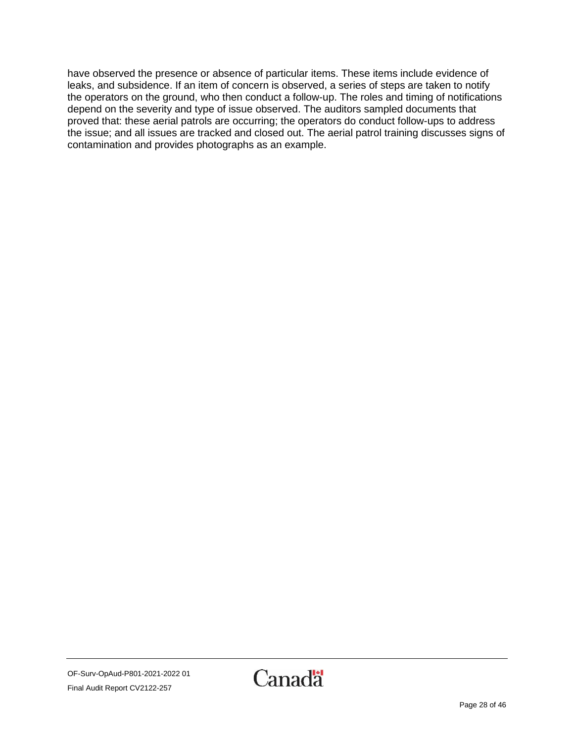have observed the presence or absence of particular items. These items include evidence of leaks, and subsidence. If an item of concern is observed, a series of steps are taken to notify the operators on the ground, who then conduct a follow-up. The roles and timing of notifications depend on the severity and type of issue observed. The auditors sampled documents that proved that: these aerial patrols are occurring; the operators do conduct follow-ups to address the issue; and all issues are tracked and closed out. The aerial patrol training discusses signs of contamination and provides photographs as an example.

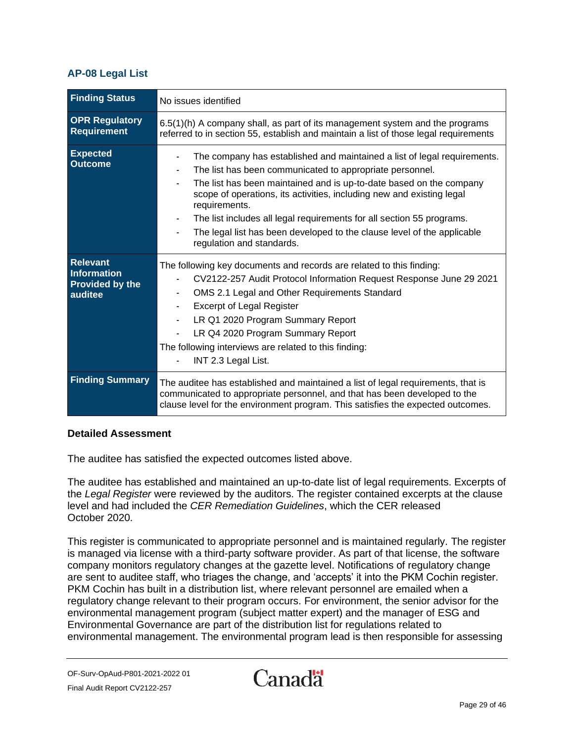#### <span id="page-28-0"></span>**AP-08 Legal List**

| <b>Finding Status</b>                                               | No issues identified                                                                                                                                                                                                                                                                                                                                                                                                                                                                   |
|---------------------------------------------------------------------|----------------------------------------------------------------------------------------------------------------------------------------------------------------------------------------------------------------------------------------------------------------------------------------------------------------------------------------------------------------------------------------------------------------------------------------------------------------------------------------|
| <b>OPR Regulatory</b><br>Requirement                                | 6.5(1)(h) A company shall, as part of its management system and the programs<br>referred to in section 55, establish and maintain a list of those legal requirements                                                                                                                                                                                                                                                                                                                   |
| <b>Expected</b><br><b>Outcome</b>                                   | The company has established and maintained a list of legal requirements.<br>The list has been communicated to appropriate personnel.<br>The list has been maintained and is up-to-date based on the company<br>scope of operations, its activities, including new and existing legal<br>requirements.<br>The list includes all legal requirements for all section 55 programs.<br>The legal list has been developed to the clause level of the applicable<br>regulation and standards. |
| <b>Relevant</b><br><b>Information</b><br>Provided by the<br>auditee | The following key documents and records are related to this finding:<br>CV2122-257 Audit Protocol Information Request Response June 29 2021<br>OMS 2.1 Legal and Other Requirements Standard<br>$\blacksquare$<br><b>Excerpt of Legal Register</b><br>LR Q1 2020 Program Summary Report<br>LR Q4 2020 Program Summary Report<br>The following interviews are related to this finding:<br>INT 2.3 Legal List.                                                                           |
| <b>Finding Summary</b>                                              | The auditee has established and maintained a list of legal requirements, that is<br>communicated to appropriate personnel, and that has been developed to the<br>clause level for the environment program. This satisfies the expected outcomes.                                                                                                                                                                                                                                       |

#### **Detailed Assessment**

The auditee has satisfied the expected outcomes listed above.

The auditee has established and maintained an up-to-date list of legal requirements. Excerpts of the *Legal Register* were reviewed by the auditors. The register contained excerpts at the clause level and had included the *CER Remediation Guidelines*, which the CER released October 2020.

This register is communicated to appropriate personnel and is maintained regularly. The register is managed via license with a third-party software provider. As part of that license, the software company monitors regulatory changes at the gazette level. Notifications of regulatory change are sent to auditee staff, who triages the change, and 'accepts' it into the PKM Cochin register. PKM Cochin has built in a distribution list, where relevant personnel are emailed when a regulatory change relevant to their program occurs. For environment, the senior advisor for the environmental management program (subject matter expert) and the manager of ESG and Environmental Governance are part of the distribution list for regulations related to environmental management. The environmental program lead is then responsible for assessing

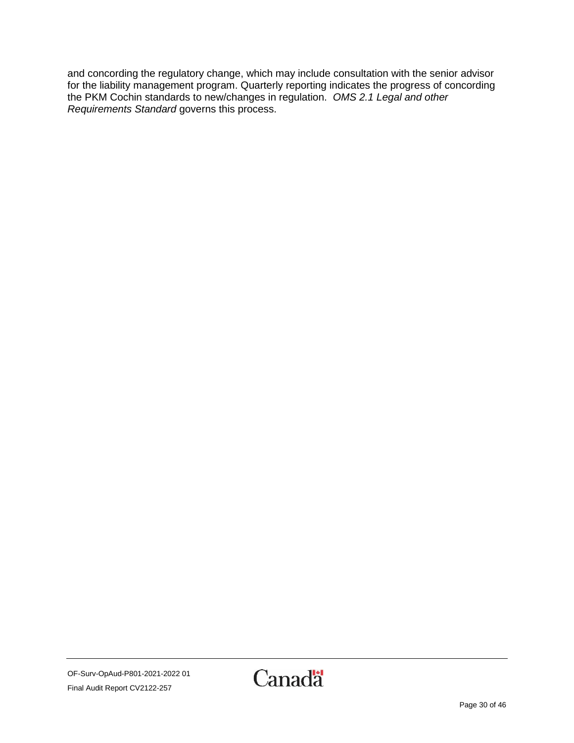and concording the regulatory change, which may include consultation with the senior advisor for the liability management program. Quarterly reporting indicates the progress of concording the PKM Cochin standards to new/changes in regulation. *OMS 2.1 Legal and other Requirements Standard* governs this process.

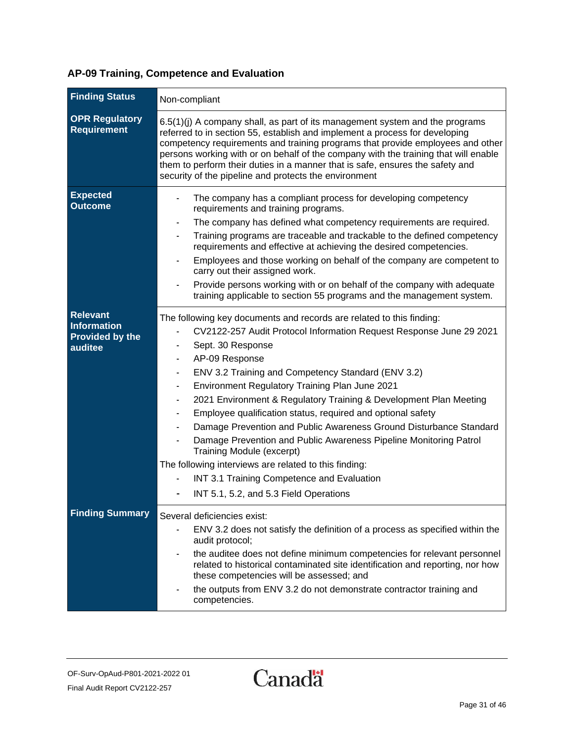#### **Finding Status** Non-compliant **OPR Regulatory Requirement** 6.5(1)(j) A company shall, as part of its management system and the programs referred to in section 55, establish and implement a process for developing competency requirements and training programs that provide employees and other persons working with or on behalf of the company with the training that will enable them to perform their duties in a manner that is safe, ensures the safety and security of the pipeline and protects the environment **Expected Outcome** The company has a compliant process for developing competency requirements and training programs. The company has defined what competency requirements are required. Training programs are traceable and trackable to the defined competency requirements and effective at achieving the desired competencies. Employees and those working on behalf of the company are competent to carry out their assigned work. Provide persons working with or on behalf of the company with adequate training applicable to section 55 programs and the management system. **Relevant Information Provided by the auditee** The following key documents and records are related to this finding: - CV2122-257 Audit Protocol Information Request Response June 29 2021 Sept. 30 Response AP-09 Response - ENV 3.2 Training and Competency Standard (ENV 3.2) - Environment Regulatory Training Plan June 2021 2021 Environment & Regulatory Training & Development Plan Meeting Employee qualification status, required and optional safety Damage Prevention and Public Awareness Ground Disturbance Standard Damage Prevention and Public Awareness Pipeline Monitoring Patrol Training Module (excerpt) The following interviews are related to this finding: INT 3.1 Training Competence and Evaluation INT 5.1, 5.2, and 5.3 Field Operations **Finding Summary** Several deficiencies exist: - ENV 3.2 does not satisfy the definition of a process as specified within the audit protocol; - the auditee does not define minimum competencies for relevant personnel related to historical contaminated site identification and reporting, nor how these competencies will be assessed; and the outputs from ENV 3.2 do not demonstrate contractor training and competencies.

#### **AP-09 Training, Competence and Evaluation**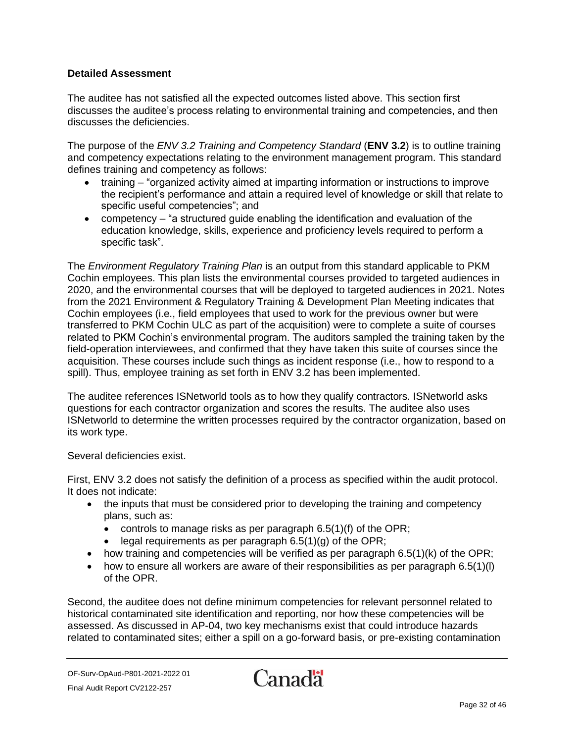The auditee has not satisfied all the expected outcomes listed above. This section first discusses the auditee's process relating to environmental training and competencies, and then discusses the deficiencies.

The purpose of the *ENV 3.2 Training and Competency Standard* (**ENV 3.2**) is to outline training and competency expectations relating to the environment management program. This standard defines training and competency as follows:

- training "organized activity aimed at imparting information or instructions to improve the recipient's performance and attain a required level of knowledge or skill that relate to specific useful competencies"; and
- competency "a structured guide enabling the identification and evaluation of the education knowledge, skills, experience and proficiency levels required to perform a specific task".

The *Environment Regulatory Training Plan* is an output from this standard applicable to PKM Cochin employees. This plan lists the environmental courses provided to targeted audiences in 2020, and the environmental courses that will be deployed to targeted audiences in 2021. Notes from the 2021 Environment & Regulatory Training & Development Plan Meeting indicates that Cochin employees (i.e., field employees that used to work for the previous owner but were transferred to PKM Cochin ULC as part of the acquisition) were to complete a suite of courses related to PKM Cochin's environmental program. The auditors sampled the training taken by the field-operation interviewees, and confirmed that they have taken this suite of courses since the acquisition. These courses include such things as incident response (i.e., how to respond to a spill). Thus, employee training as set forth in ENV 3.2 has been implemented.

The auditee references ISNetworld tools as to how they qualify contractors. ISNetworld asks questions for each contractor organization and scores the results. The auditee also uses ISNetworld to determine the written processes required by the contractor organization, based on its work type.

#### Several deficiencies exist.

First, ENV 3.2 does not satisfy the definition of a process as specified within the audit protocol. It does not indicate:

- the inputs that must be considered prior to developing the training and competency plans, such as:
	- controls to manage risks as per paragraph 6.5(1)(f) of the OPR;
	- legal requirements as per paragraph  $6.5(1)(g)$  of the OPR;
- how training and competencies will be verified as per paragraph  $6.5(1)(k)$  of the OPR;
- how to ensure all workers are aware of their responsibilities as per paragraph  $6.5(1)(l)$ of the OPR.

Second, the auditee does not define minimum competencies for relevant personnel related to historical contaminated site identification and reporting, nor how these competencies will be assessed. As discussed in AP-04, two key mechanisms exist that could introduce hazards related to contaminated sites; either a spill on a go-forward basis, or pre-existing contamination

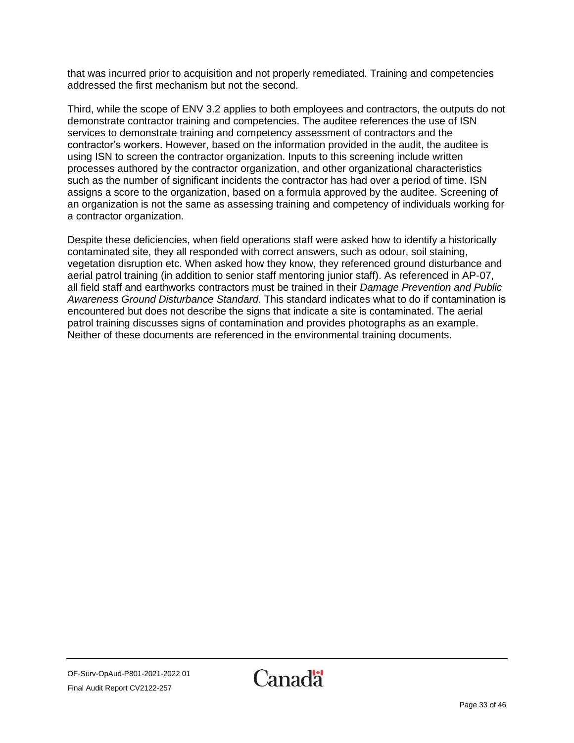that was incurred prior to acquisition and not properly remediated. Training and competencies addressed the first mechanism but not the second.

Third, while the scope of ENV 3.2 applies to both employees and contractors, the outputs do not demonstrate contractor training and competencies. The auditee references the use of ISN services to demonstrate training and competency assessment of contractors and the contractor's workers. However, based on the information provided in the audit, the auditee is using ISN to screen the contractor organization. Inputs to this screening include written processes authored by the contractor organization, and other organizational characteristics such as the number of significant incidents the contractor has had over a period of time. ISN assigns a score to the organization, based on a formula approved by the auditee. Screening of an organization is not the same as assessing training and competency of individuals working for a contractor organization.

Despite these deficiencies, when field operations staff were asked how to identify a historically contaminated site, they all responded with correct answers, such as odour, soil staining, vegetation disruption etc. When asked how they know, they referenced ground disturbance and aerial patrol training (in addition to senior staff mentoring junior staff). As referenced in AP-07, all field staff and earthworks contractors must be trained in their *Damage Prevention and Public Awareness Ground Disturbance Standard*. This standard indicates what to do if contamination is encountered but does not describe the signs that indicate a site is contaminated. The aerial patrol training discusses signs of contamination and provides photographs as an example. Neither of these documents are referenced in the environmental training documents.

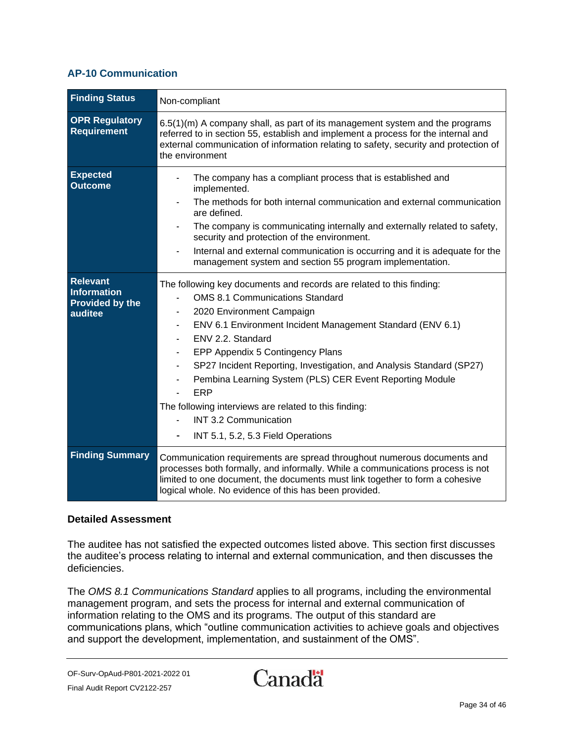#### <span id="page-33-0"></span>**AP-10 Communication**

| <b>Finding Status</b>                                                      | Non-compliant                                                                                                                                                                                                                                                                                                                                                                                                                                                                                                                                |
|----------------------------------------------------------------------------|----------------------------------------------------------------------------------------------------------------------------------------------------------------------------------------------------------------------------------------------------------------------------------------------------------------------------------------------------------------------------------------------------------------------------------------------------------------------------------------------------------------------------------------------|
| <b>OPR Regulatory</b><br><b>Requirement</b>                                | $6.5(1)(m)$ A company shall, as part of its management system and the programs<br>referred to in section 55, establish and implement a process for the internal and<br>external communication of information relating to safety, security and protection of<br>the environment                                                                                                                                                                                                                                                               |
| <b>Expected</b><br><b>Outcome</b>                                          | The company has a compliant process that is established and<br>implemented.<br>The methods for both internal communication and external communication<br>are defined.<br>The company is communicating internally and externally related to safety,<br>security and protection of the environment.<br>Internal and external communication is occurring and it is adequate for the<br>management system and section 55 program implementation.                                                                                                 |
| <b>Relevant</b><br><b>Information</b><br><b>Provided by the</b><br>auditee | The following key documents and records are related to this finding:<br><b>OMS 8.1 Communications Standard</b><br>2020 Environment Campaign<br>ENV 6.1 Environment Incident Management Standard (ENV 6.1)<br>ENV 2.2. Standard<br>EPP Appendix 5 Contingency Plans<br>SP27 Incident Reporting, Investigation, and Analysis Standard (SP27)<br>Pembina Learning System (PLS) CER Event Reporting Module<br>ERP<br>The following interviews are related to this finding:<br><b>INT 3.2 Communication</b><br>INT 5.1, 5.2, 5.3 Field Operations |
| <b>Finding Summary</b>                                                     | Communication requirements are spread throughout numerous documents and<br>processes both formally, and informally. While a communications process is not<br>limited to one document, the documents must link together to form a cohesive<br>logical whole. No evidence of this has been provided.                                                                                                                                                                                                                                           |

#### **Detailed Assessment**

The auditee has not satisfied the expected outcomes listed above. This section first discusses the auditee's process relating to internal and external communication, and then discusses the deficiencies.

The *OMS 8.1 Communications Standard* applies to all programs, including the environmental management program, and sets the process for internal and external communication of information relating to the OMS and its programs. The output of this standard are communications plans, which "outline communication activities to achieve goals and objectives and support the development, implementation, and sustainment of the OMS".

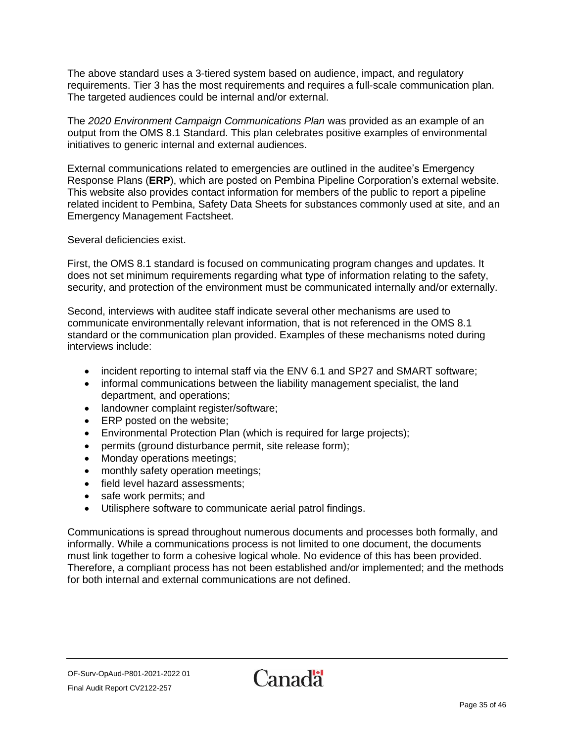The above standard uses a 3-tiered system based on audience, impact, and regulatory requirements. Tier 3 has the most requirements and requires a full-scale communication plan. The targeted audiences could be internal and/or external.

The *2020 Environment Campaign Communications Plan* was provided as an example of an output from the OMS 8.1 Standard. This plan celebrates positive examples of environmental initiatives to generic internal and external audiences.

External communications related to emergencies are outlined in the auditee's Emergency Response Plans (**ERP**), which are posted on Pembina Pipeline Corporation's external website. This website also provides contact information for members of the public to report a pipeline related incident to Pembina, Safety Data Sheets for substances commonly used at site, and an Emergency Management Factsheet.

#### Several deficiencies exist.

First, the OMS 8.1 standard is focused on communicating program changes and updates. It does not set minimum requirements regarding what type of information relating to the safety, security, and protection of the environment must be communicated internally and/or externally.

Second, interviews with auditee staff indicate several other mechanisms are used to communicate environmentally relevant information, that is not referenced in the OMS 8.1 standard or the communication plan provided. Examples of these mechanisms noted during interviews include:

- incident reporting to internal staff via the ENV 6.1 and SP27 and SMART software;
- informal communications between the liability management specialist, the land department, and operations;
- landowner complaint register/software;
- ERP posted on the website;
- Environmental Protection Plan (which is required for large projects);
- permits (ground disturbance permit, site release form);
- Monday operations meetings;
- monthly safety operation meetings;
- field level hazard assessments;
- safe work permits; and
- Utilisphere software to communicate aerial patrol findings.

Communications is spread throughout numerous documents and processes both formally, and informally. While a communications process is not limited to one document, the documents must link together to form a cohesive logical whole. No evidence of this has been provided. Therefore, a compliant process has not been established and/or implemented; and the methods for both internal and external communications are not defined.

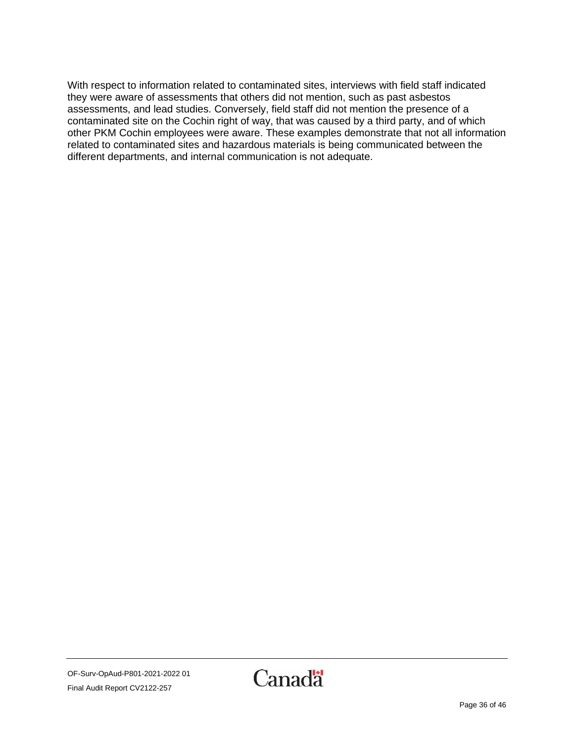With respect to information related to contaminated sites, interviews with field staff indicated they were aware of assessments that others did not mention, such as past asbestos assessments, and lead studies. Conversely, field staff did not mention the presence of a contaminated site on the Cochin right of way, that was caused by a third party, and of which other PKM Cochin employees were aware. These examples demonstrate that not all information related to contaminated sites and hazardous materials is being communicated between the different departments, and internal communication is not adequate.

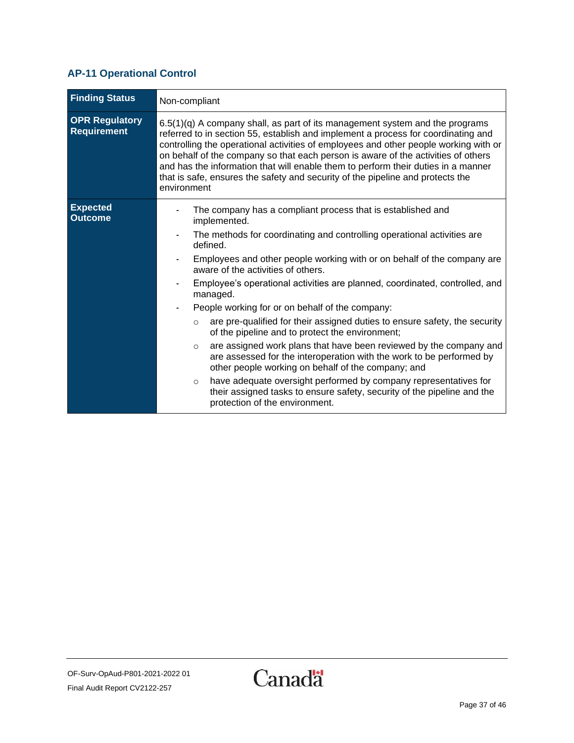### <span id="page-36-0"></span>**AP-11 Operational Control**

| <b>Finding Status</b>                | Non-compliant                                                                                                                                                                                                                                                                                                                                                                                                                                                                                                                                                                                                                                                                                                                                                                                                                                                                                                                                                                            |
|--------------------------------------|------------------------------------------------------------------------------------------------------------------------------------------------------------------------------------------------------------------------------------------------------------------------------------------------------------------------------------------------------------------------------------------------------------------------------------------------------------------------------------------------------------------------------------------------------------------------------------------------------------------------------------------------------------------------------------------------------------------------------------------------------------------------------------------------------------------------------------------------------------------------------------------------------------------------------------------------------------------------------------------|
| <b>OPR Regulatory</b><br>Requirement | $6.5(1)(q)$ A company shall, as part of its management system and the programs<br>referred to in section 55, establish and implement a process for coordinating and<br>controlling the operational activities of employees and other people working with or<br>on behalf of the company so that each person is aware of the activities of others<br>and has the information that will enable them to perform their duties in a manner<br>that is safe, ensures the safety and security of the pipeline and protects the<br>environment                                                                                                                                                                                                                                                                                                                                                                                                                                                   |
| <b>Expected</b><br><b>Outcome</b>    | The company has a compliant process that is established and<br>implemented.<br>The methods for coordinating and controlling operational activities are<br>defined.<br>Employees and other people working with or on behalf of the company are<br>aware of the activities of others.<br>Employee's operational activities are planned, coordinated, controlled, and<br>managed.<br>People working for or on behalf of the company:<br>are pre-qualified for their assigned duties to ensure safety, the security<br>$\circ$<br>of the pipeline and to protect the environment;<br>are assigned work plans that have been reviewed by the company and<br>$\circ$<br>are assessed for the interoperation with the work to be performed by<br>other people working on behalf of the company; and<br>have adequate oversight performed by company representatives for<br>$\circ$<br>their assigned tasks to ensure safety, security of the pipeline and the<br>protection of the environment. |

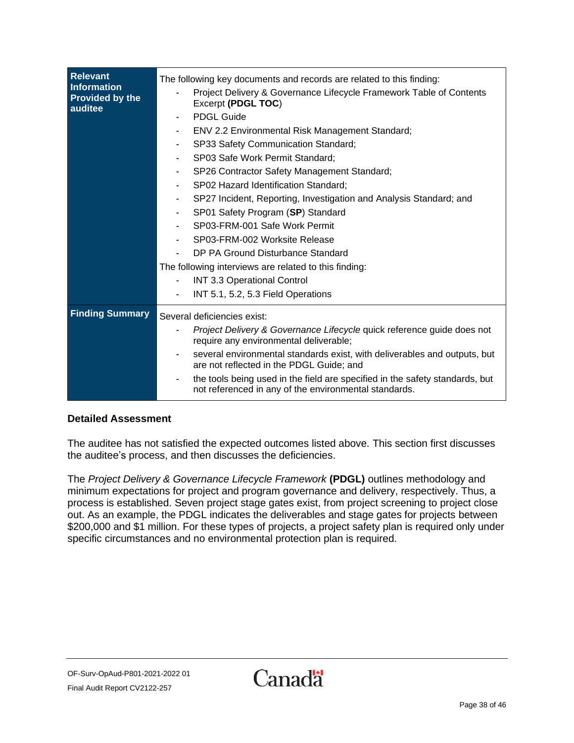| <b>Relevant</b><br><b>Information</b><br><b>Provided by the</b><br>auditee | The following key documents and records are related to this finding:                                                                  |
|----------------------------------------------------------------------------|---------------------------------------------------------------------------------------------------------------------------------------|
|                                                                            | Project Delivery & Governance Lifecycle Framework Table of Contents<br>Excerpt (PDGL TOC)                                             |
|                                                                            | <b>PDGL Guide</b><br>٠                                                                                                                |
|                                                                            | ENV 2.2 Environmental Risk Management Standard;<br>$\overline{\phantom{0}}$                                                           |
|                                                                            | SP33 Safety Communication Standard;<br>$\overline{\phantom{0}}$                                                                       |
|                                                                            | SP03 Safe Work Permit Standard;<br>$\overline{\phantom{0}}$                                                                           |
|                                                                            | SP26 Contractor Safety Management Standard;                                                                                           |
|                                                                            | SP02 Hazard Identification Standard;<br>٠                                                                                             |
|                                                                            | SP27 Incident, Reporting, Investigation and Analysis Standard; and<br>$\qquad \qquad \blacksquare$                                    |
|                                                                            | SP01 Safety Program (SP) Standard                                                                                                     |
|                                                                            | SP03-FRM-001 Safe Work Permit                                                                                                         |
|                                                                            | SP03-FRM-002 Worksite Release                                                                                                         |
|                                                                            | DP PA Ground Disturbance Standard                                                                                                     |
|                                                                            | The following interviews are related to this finding:                                                                                 |
|                                                                            | <b>INT 3.3 Operational Control</b>                                                                                                    |
|                                                                            | INT 5.1, 5.2, 5.3 Field Operations                                                                                                    |
| <b>Finding Summary</b>                                                     | Several deficiencies exist:                                                                                                           |
|                                                                            | Project Delivery & Governance Lifecycle quick reference guide does not<br>require any environmental deliverable;                      |
|                                                                            | several environmental standards exist, with deliverables and outputs, but<br>are not reflected in the PDGL Guide; and                 |
|                                                                            | the tools being used in the field are specified in the safety standards, but<br>not referenced in any of the environmental standards. |

The auditee has not satisfied the expected outcomes listed above. This section first discusses the auditee's process, and then discusses the deficiencies.

The *Project Delivery & Governance Lifecycle Framework* **(PDGL)** outlines methodology and minimum expectations for project and program governance and delivery, respectively. Thus, a process is established. Seven project stage gates exist, from project screening to project close out. As an example, the PDGL indicates the deliverables and stage gates for projects between \$200,000 and \$1 million. For these types of projects, a project safety plan is required only under specific circumstances and no environmental protection plan is required.

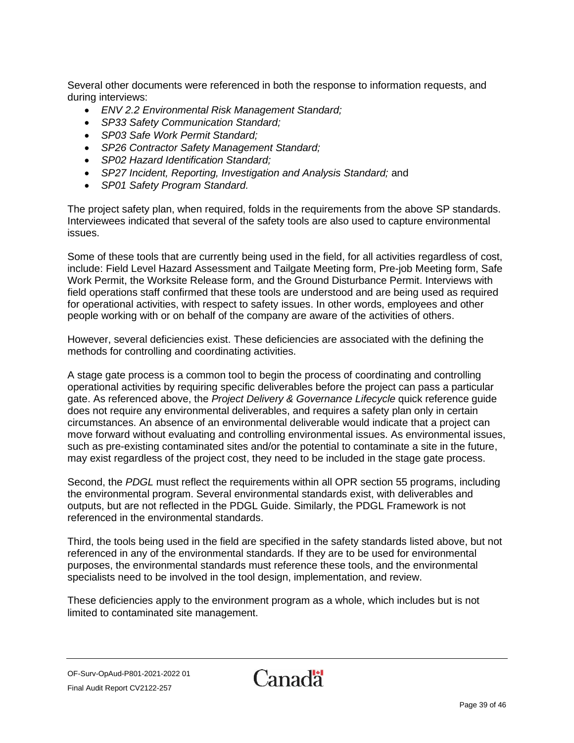Several other documents were referenced in both the response to information requests, and during interviews:

- *ENV 2.2 Environmental Risk Management Standard;*
- *SP33 Safety Communication Standard;*
- *SP03 Safe Work Permit Standard;*
- *SP26 Contractor Safety Management Standard;*
- *SP02 Hazard Identification Standard;*
- *SP27 Incident, Reporting, Investigation and Analysis Standard;* and
- *SP01 Safety Program Standard.*

The project safety plan, when required, folds in the requirements from the above SP standards. Interviewees indicated that several of the safety tools are also used to capture environmental issues.

Some of these tools that are currently being used in the field, for all activities regardless of cost, include: Field Level Hazard Assessment and Tailgate Meeting form, Pre-job Meeting form, Safe Work Permit, the Worksite Release form, and the Ground Disturbance Permit. Interviews with field operations staff confirmed that these tools are understood and are being used as required for operational activities, with respect to safety issues. In other words, employees and other people working with or on behalf of the company are aware of the activities of others.

However, several deficiencies exist. These deficiencies are associated with the defining the methods for controlling and coordinating activities.

A stage gate process is a common tool to begin the process of coordinating and controlling operational activities by requiring specific deliverables before the project can pass a particular gate. As referenced above, the *Project Delivery & Governance Lifecycle* quick reference guide does not require any environmental deliverables, and requires a safety plan only in certain circumstances. An absence of an environmental deliverable would indicate that a project can move forward without evaluating and controlling environmental issues. As environmental issues, such as pre-existing contaminated sites and/or the potential to contaminate a site in the future, may exist regardless of the project cost, they need to be included in the stage gate process.

Second, the *PDGL* must reflect the requirements within all OPR section 55 programs, including the environmental program. Several environmental standards exist, with deliverables and outputs, but are not reflected in the PDGL Guide. Similarly, the PDGL Framework is not referenced in the environmental standards.

Third, the tools being used in the field are specified in the safety standards listed above, but not referenced in any of the environmental standards. If they are to be used for environmental purposes, the environmental standards must reference these tools, and the environmental specialists need to be involved in the tool design, implementation, and review.

These deficiencies apply to the environment program as a whole, which includes but is not limited to contaminated site management.

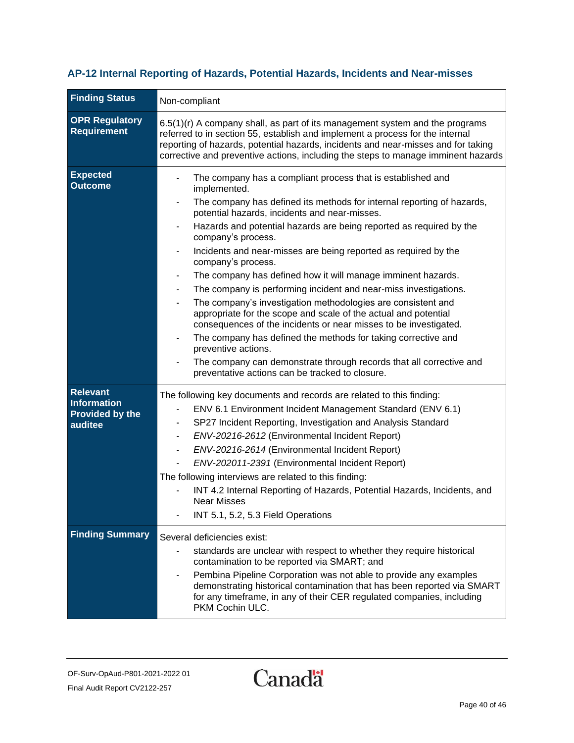# <span id="page-39-0"></span>**AP-12 Internal Reporting of Hazards, Potential Hazards, Incidents and Near-misses**

| <b>Finding Status</b>                                                      | Non-compliant                                                                                                                                                                                                                                                                                                                                                                                                                                                                                                                                                                                                                                                                                                                                                                                                                                                                                                                                             |
|----------------------------------------------------------------------------|-----------------------------------------------------------------------------------------------------------------------------------------------------------------------------------------------------------------------------------------------------------------------------------------------------------------------------------------------------------------------------------------------------------------------------------------------------------------------------------------------------------------------------------------------------------------------------------------------------------------------------------------------------------------------------------------------------------------------------------------------------------------------------------------------------------------------------------------------------------------------------------------------------------------------------------------------------------|
| <b>OPR Regulatory</b><br><b>Requirement</b>                                | 6.5(1)(r) A company shall, as part of its management system and the programs<br>referred to in section 55, establish and implement a process for the internal<br>reporting of hazards, potential hazards, incidents and near-misses and for taking<br>corrective and preventive actions, including the steps to manage imminent hazards                                                                                                                                                                                                                                                                                                                                                                                                                                                                                                                                                                                                                   |
| <b>Expected</b><br><b>Outcome</b>                                          | The company has a compliant process that is established and<br>implemented.<br>The company has defined its methods for internal reporting of hazards,<br>potential hazards, incidents and near-misses.<br>Hazards and potential hazards are being reported as required by the<br>company's process.<br>Incidents and near-misses are being reported as required by the<br>company's process.<br>The company has defined how it will manage imminent hazards.<br>The company is performing incident and near-miss investigations.<br>The company's investigation methodologies are consistent and<br>appropriate for the scope and scale of the actual and potential<br>consequences of the incidents or near misses to be investigated.<br>The company has defined the methods for taking corrective and<br>preventive actions.<br>The company can demonstrate through records that all corrective and<br>preventative actions can be tracked to closure. |
| <b>Relevant</b><br><b>Information</b><br><b>Provided by the</b><br>auditee | The following key documents and records are related to this finding:<br>ENV 6.1 Environment Incident Management Standard (ENV 6.1)<br>SP27 Incident Reporting, Investigation and Analysis Standard<br>ENV-20216-2612 (Environmental Incident Report)<br>ENV-20216-2614 (Environmental Incident Report)<br>$\overline{\phantom{a}}$<br>ENV-202011-2391 (Environmental Incident Report)<br>The following interviews are related to this finding:<br>INT 4.2 Internal Reporting of Hazards, Potential Hazards, Incidents, and<br><b>Near Misses</b><br>INT 5.1, 5.2, 5.3 Field Operations                                                                                                                                                                                                                                                                                                                                                                    |
| <b>Finding Summary</b>                                                     | Several deficiencies exist:<br>standards are unclear with respect to whether they require historical<br>contamination to be reported via SMART; and<br>Pembina Pipeline Corporation was not able to provide any examples<br>demonstrating historical contamination that has been reported via SMART<br>for any timeframe, in any of their CER regulated companies, including<br>PKM Cochin ULC.                                                                                                                                                                                                                                                                                                                                                                                                                                                                                                                                                           |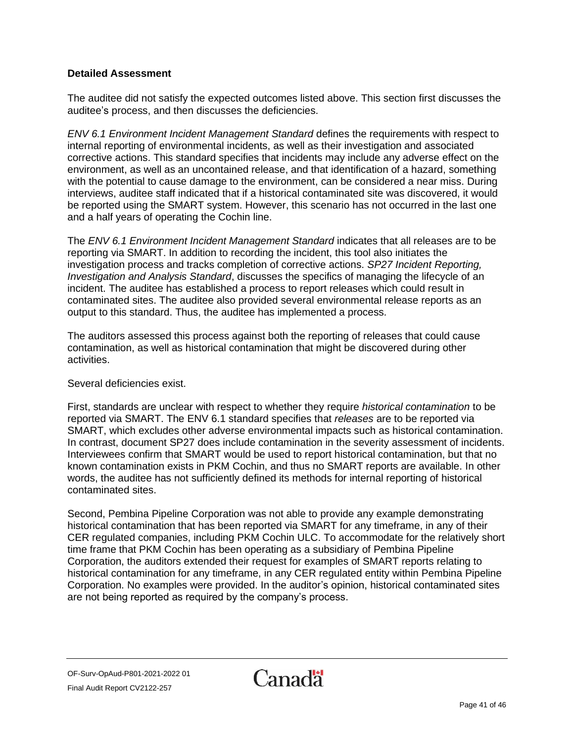The auditee did not satisfy the expected outcomes listed above. This section first discusses the auditee's process, and then discusses the deficiencies.

*ENV 6.1 Environment Incident Management Standard* defines the requirements with respect to internal reporting of environmental incidents, as well as their investigation and associated corrective actions. This standard specifies that incidents may include any adverse effect on the environment, as well as an uncontained release, and that identification of a hazard, something with the potential to cause damage to the environment, can be considered a near miss. During interviews, auditee staff indicated that if a historical contaminated site was discovered, it would be reported using the SMART system. However, this scenario has not occurred in the last one and a half years of operating the Cochin line.

The *ENV 6.1 Environment Incident Management Standard* indicates that all releases are to be reporting via SMART. In addition to recording the incident, this tool also initiates the investigation process and tracks completion of corrective actions. *SP27 Incident Reporting, Investigation and Analysis Standard*, discusses the specifics of managing the lifecycle of an incident. The auditee has established a process to report releases which could result in contaminated sites. The auditee also provided several environmental release reports as an output to this standard. Thus, the auditee has implemented a process.

The auditors assessed this process against both the reporting of releases that could cause contamination, as well as historical contamination that might be discovered during other activities.

#### Several deficiencies exist.

First, standards are unclear with respect to whether they require *historical contamination* to be reported via SMART. The ENV 6.1 standard specifies that *releases* are to be reported via SMART, which excludes other adverse environmental impacts such as historical contamination. In contrast, document SP27 does include contamination in the severity assessment of incidents. Interviewees confirm that SMART would be used to report historical contamination, but that no known contamination exists in PKM Cochin, and thus no SMART reports are available. In other words, the auditee has not sufficiently defined its methods for internal reporting of historical contaminated sites.

Second, Pembina Pipeline Corporation was not able to provide any example demonstrating historical contamination that has been reported via SMART for any timeframe, in any of their CER regulated companies, including PKM Cochin ULC. To accommodate for the relatively short time frame that PKM Cochin has been operating as a subsidiary of Pembina Pipeline Corporation, the auditors extended their request for examples of SMART reports relating to historical contamination for any timeframe, in any CER regulated entity within Pembina Pipeline Corporation. No examples were provided. In the auditor's opinion, historical contaminated sites are not being reported as required by the company's process.

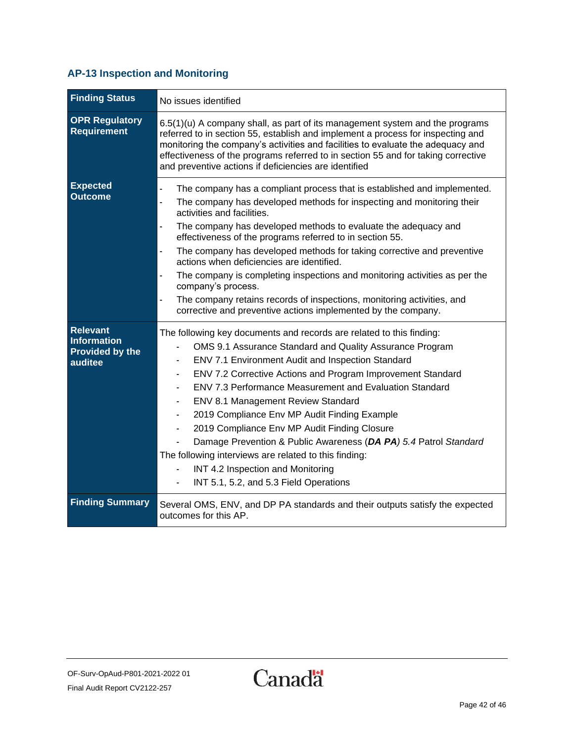### <span id="page-41-0"></span>**AP-13 Inspection and Monitoring**

| <b>Finding Status</b>                                                      | No issues identified                                                                                                                                                                                                                                                                                                                                                                                                                                                                                                                                                                                                                                                                                                                                                                                                |
|----------------------------------------------------------------------------|---------------------------------------------------------------------------------------------------------------------------------------------------------------------------------------------------------------------------------------------------------------------------------------------------------------------------------------------------------------------------------------------------------------------------------------------------------------------------------------------------------------------------------------------------------------------------------------------------------------------------------------------------------------------------------------------------------------------------------------------------------------------------------------------------------------------|
| <b>OPR Regulatory</b><br><b>Requirement</b>                                | $6.5(1)(u)$ A company shall, as part of its management system and the programs<br>referred to in section 55, establish and implement a process for inspecting and<br>monitoring the company's activities and facilities to evaluate the adequacy and<br>effectiveness of the programs referred to in section 55 and for taking corrective<br>and preventive actions if deficiencies are identified                                                                                                                                                                                                                                                                                                                                                                                                                  |
| <b>Expected</b><br><b>Outcome</b>                                          | The company has a compliant process that is established and implemented.<br>$\overline{\phantom{a}}$<br>The company has developed methods for inspecting and monitoring their<br>$\overline{a}$<br>activities and facilities.<br>$\overline{\phantom{a}}$<br>The company has developed methods to evaluate the adequacy and<br>effectiveness of the programs referred to in section 55.<br>The company has developed methods for taking corrective and preventive<br>$\blacksquare$<br>actions when deficiencies are identified.<br>The company is completing inspections and monitoring activities as per the<br>$\blacksquare$<br>company's process.<br>The company retains records of inspections, monitoring activities, and<br>$\blacksquare$<br>corrective and preventive actions implemented by the company. |
| <b>Relevant</b><br><b>Information</b><br><b>Provided by the</b><br>auditee | The following key documents and records are related to this finding:<br>OMS 9.1 Assurance Standard and Quality Assurance Program<br>ENV 7.1 Environment Audit and Inspection Standard<br>ENV 7.2 Corrective Actions and Program Improvement Standard<br>ENV 7.3 Performance Measurement and Evaluation Standard<br>ENV 8.1 Management Review Standard<br>2019 Compliance Env MP Audit Finding Example<br>$\blacksquare$<br>2019 Compliance Env MP Audit Finding Closure<br>$\blacksquare$<br>Damage Prevention & Public Awareness (DA PA) 5.4 Patrol Standard<br>The following interviews are related to this finding:<br>INT 4.2 Inspection and Monitoring<br>INT 5.1, 5.2, and 5.3 Field Operations                                                                                                               |
| <b>Finding Summary</b>                                                     | Several OMS, ENV, and DP PA standards and their outputs satisfy the expected<br>outcomes for this AP.                                                                                                                                                                                                                                                                                                                                                                                                                                                                                                                                                                                                                                                                                                               |

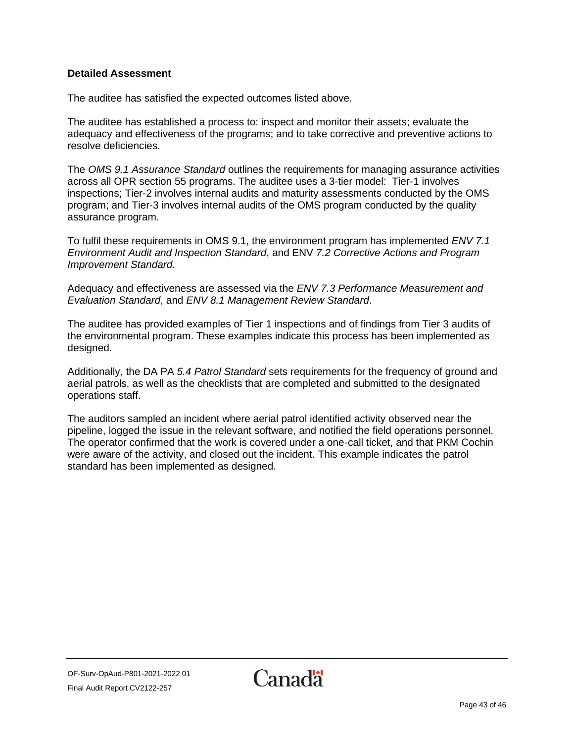The auditee has satisfied the expected outcomes listed above.

The auditee has established a process to: inspect and monitor their assets; evaluate the adequacy and effectiveness of the programs; and to take corrective and preventive actions to resolve deficiencies.

The *OMS 9.1 Assurance Standard* outlines the requirements for managing assurance activities across all OPR section 55 programs. The auditee uses a 3-tier model: Tier-1 involves inspections; Tier-2 involves internal audits and maturity assessments conducted by the OMS program; and Tier-3 involves internal audits of the OMS program conducted by the quality assurance program.

To fulfil these requirements in OMS 9.1, the environment program has implemented *ENV 7.1 Environment Audit and Inspection Standard*, and ENV *7.2 Corrective Actions and Program Improvement Standard*.

Adequacy and effectiveness are assessed via the *ENV 7.3 Performance Measurement and Evaluation Standard*, and *ENV 8.1 Management Review Standard*.

The auditee has provided examples of Tier 1 inspections and of findings from Tier 3 audits of the environmental program. These examples indicate this process has been implemented as designed.

Additionally, the DA PA *5.4 Patrol Standard* sets requirements for the frequency of ground and aerial patrols, as well as the checklists that are completed and submitted to the designated operations staff.

The auditors sampled an incident where aerial patrol identified activity observed near the pipeline, logged the issue in the relevant software, and notified the field operations personnel. The operator confirmed that the work is covered under a one-call ticket, and that PKM Cochin were aware of the activity, and closed out the incident. This example indicates the patrol standard has been implemented as designed.

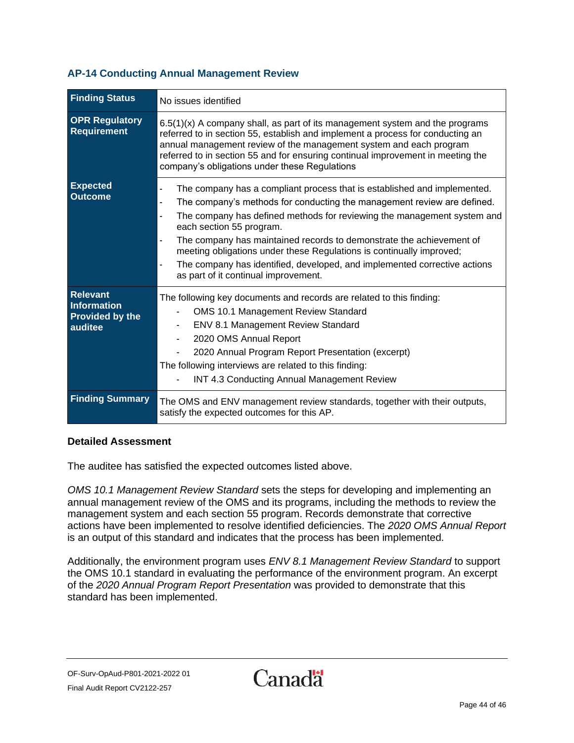#### <span id="page-43-0"></span>**AP-14 Conducting Annual Management Review**

| <b>Finding Status</b>                                               | No issues identified                                                                                                                                                                                                                                                                                                                                                                                                                                                                                                                                         |
|---------------------------------------------------------------------|--------------------------------------------------------------------------------------------------------------------------------------------------------------------------------------------------------------------------------------------------------------------------------------------------------------------------------------------------------------------------------------------------------------------------------------------------------------------------------------------------------------------------------------------------------------|
| <b>OPR Regulatory</b><br>Requirement                                | $6.5(1)(x)$ A company shall, as part of its management system and the programs<br>referred to in section 55, establish and implement a process for conducting an<br>annual management review of the management system and each program<br>referred to in section 55 and for ensuring continual improvement in meeting the<br>company's obligations under these Regulations                                                                                                                                                                                   |
| <b>Expected</b><br><b>Outcome</b>                                   | The company has a compliant process that is established and implemented.<br>$\frac{1}{2}$<br>The company's methods for conducting the management review are defined.<br>ä,<br>The company has defined methods for reviewing the management system and<br>÷,<br>each section 55 program.<br>The company has maintained records to demonstrate the achievement of<br>meeting obligations under these Regulations is continually improved;<br>The company has identified, developed, and implemented corrective actions<br>as part of it continual improvement. |
| <b>Relevant</b><br>Information<br><b>Provided by the</b><br>auditee | The following key documents and records are related to this finding:<br><b>OMS 10.1 Management Review Standard</b><br>ENV 8.1 Management Review Standard<br>2020 OMS Annual Report<br>2020 Annual Program Report Presentation (excerpt)<br>The following interviews are related to this finding:<br>INT 4.3 Conducting Annual Management Review                                                                                                                                                                                                              |
| <b>Finding Summary</b>                                              | The OMS and ENV management review standards, together with their outputs,<br>satisfy the expected outcomes for this AP.                                                                                                                                                                                                                                                                                                                                                                                                                                      |

#### **Detailed Assessment**

The auditee has satisfied the expected outcomes listed above.

*OMS 10.1 Management Review Standard* sets the steps for developing and implementing an annual management review of the OMS and its programs, including the methods to review the management system and each section 55 program. Records demonstrate that corrective actions have been implemented to resolve identified deficiencies. The *2020 OMS Annual Report* is an output of this standard and indicates that the process has been implemented.

Additionally, the environment program uses *ENV 8.1 Management Review Standard* to support the OMS 10.1 standard in evaluating the performance of the environment program. An excerpt of the *2020 Annual Program Report Presentation* was provided to demonstrate that this standard has been implemented.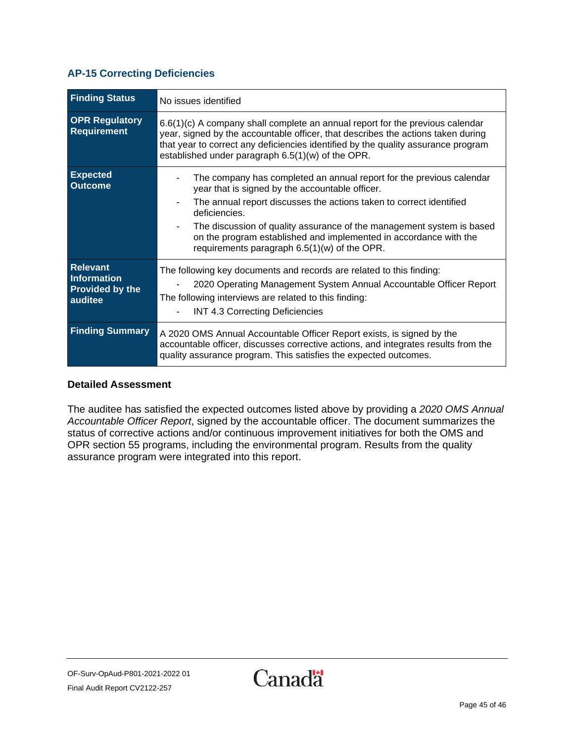#### <span id="page-44-0"></span>**AP-15 Correcting Deficiencies**

| <b>Finding Status</b>                                                      | No issues identified                                                                                                                                                                                                                                                                                                                                                                                            |
|----------------------------------------------------------------------------|-----------------------------------------------------------------------------------------------------------------------------------------------------------------------------------------------------------------------------------------------------------------------------------------------------------------------------------------------------------------------------------------------------------------|
| <b>OPR Regulatory</b><br>Requirement                                       | $6.6(1)(c)$ A company shall complete an annual report for the previous calendar<br>year, signed by the accountable officer, that describes the actions taken during<br>that year to correct any deficiencies identified by the quality assurance program<br>established under paragraph 6.5(1)(w) of the OPR.                                                                                                   |
| <b>Expected</b><br><b>Outcome</b>                                          | The company has completed an annual report for the previous calendar<br>year that is signed by the accountable officer.<br>The annual report discusses the actions taken to correct identified<br>deficiencies.<br>The discussion of quality assurance of the management system is based<br>on the program established and implemented in accordance with the<br>requirements paragraph $6.5(1)(w)$ of the OPR. |
| <b>Relevant</b><br><b>Information</b><br><b>Provided by the</b><br>auditee | The following key documents and records are related to this finding:<br>2020 Operating Management System Annual Accountable Officer Report<br>The following interviews are related to this finding:<br><b>INT 4.3 Correcting Deficiencies</b>                                                                                                                                                                   |
| <b>Finding Summary</b>                                                     | A 2020 OMS Annual Accountable Officer Report exists, is signed by the<br>accountable officer, discusses corrective actions, and integrates results from the<br>quality assurance program. This satisfies the expected outcomes.                                                                                                                                                                                 |

#### **Detailed Assessment**

The auditee has satisfied the expected outcomes listed above by providing a *2020 OMS Annual Accountable Officer Report*, signed by the accountable officer. The document summarizes the status of corrective actions and/or continuous improvement initiatives for both the OMS and OPR section 55 programs, including the environmental program. Results from the quality assurance program were integrated into this report.